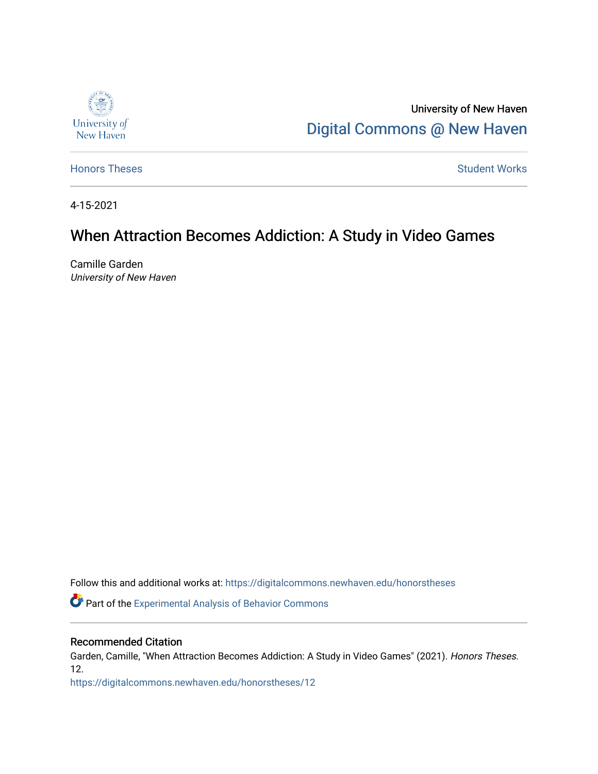

University of New Haven [Digital Commons @ New Haven](https://digitalcommons.newhaven.edu/) 

[Honors Theses](https://digitalcommons.newhaven.edu/honorstheses) **Student Works** [Student Works](https://digitalcommons.newhaven.edu/studentworks) **Student Works** 

4-15-2021

## When Attraction Becomes Addiction: A Study in Video Games

Camille Garden University of New Haven

Follow this and additional works at: [https://digitalcommons.newhaven.edu/honorstheses](https://digitalcommons.newhaven.edu/honorstheses?utm_source=digitalcommons.newhaven.edu%2Fhonorstheses%2F12&utm_medium=PDF&utm_campaign=PDFCoverPages) 

**Part of the Experimental Analysis of Behavior Commons** 

#### Recommended Citation

Garden, Camille, "When Attraction Becomes Addiction: A Study in Video Games" (2021). Honors Theses. 12.

[https://digitalcommons.newhaven.edu/honorstheses/12](https://digitalcommons.newhaven.edu/honorstheses/12?utm_source=digitalcommons.newhaven.edu%2Fhonorstheses%2F12&utm_medium=PDF&utm_campaign=PDFCoverPages)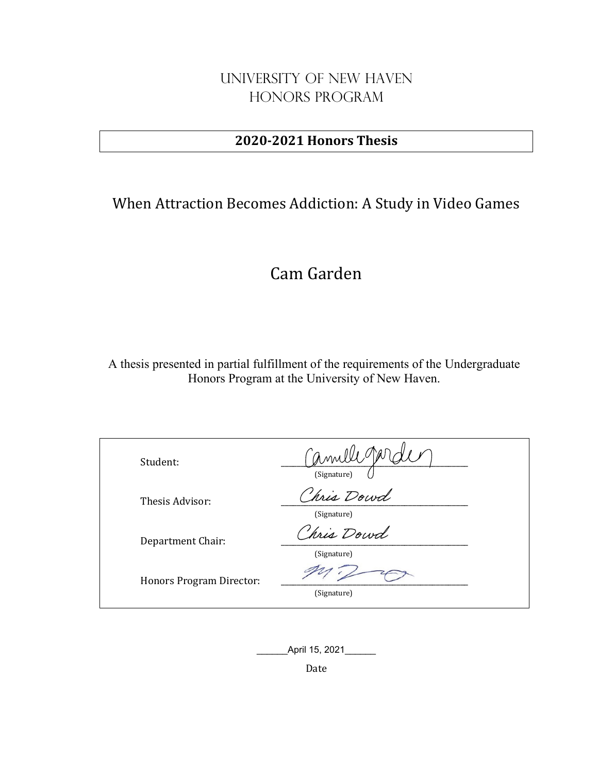### University of New Haven Honors Program

### **2020-2021 Honors Thesis**

## When Attraction Becomes Addiction: A Study in Video Games

# Cam Garden

A thesis presented in partial fulfillment of the requirements of the Undergraduate Honors Program at the University of New Haven.

| Student:                 | am<br>(Signature)        |
|--------------------------|--------------------------|
| Thesis Advisor:          | hris Dowd<br>(Signature) |
| Department Chair:        | hris Dowd<br>(Signature) |
| Honors Program Director: | (Signature)              |

\_\_\_\_\_\_April 15, 2021\_\_\_\_\_\_

Date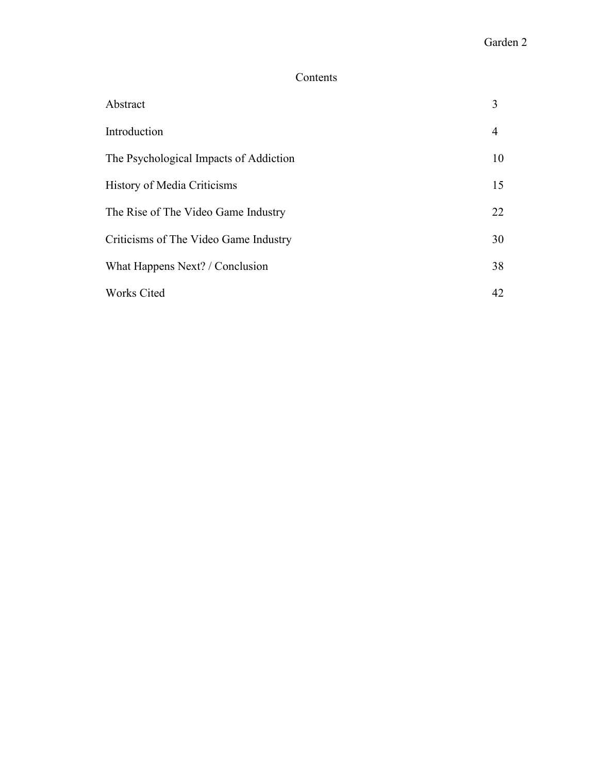### Contents

| Abstract                               | 3              |
|----------------------------------------|----------------|
| Introduction                           | $\overline{4}$ |
| The Psychological Impacts of Addiction | 10             |
| <b>History of Media Criticisms</b>     | 15             |
| The Rise of The Video Game Industry    | 22             |
| Criticisms of The Video Game Industry  | 30             |
| What Happens Next? / Conclusion        | 38             |
| <b>Works Cited</b>                     | 42             |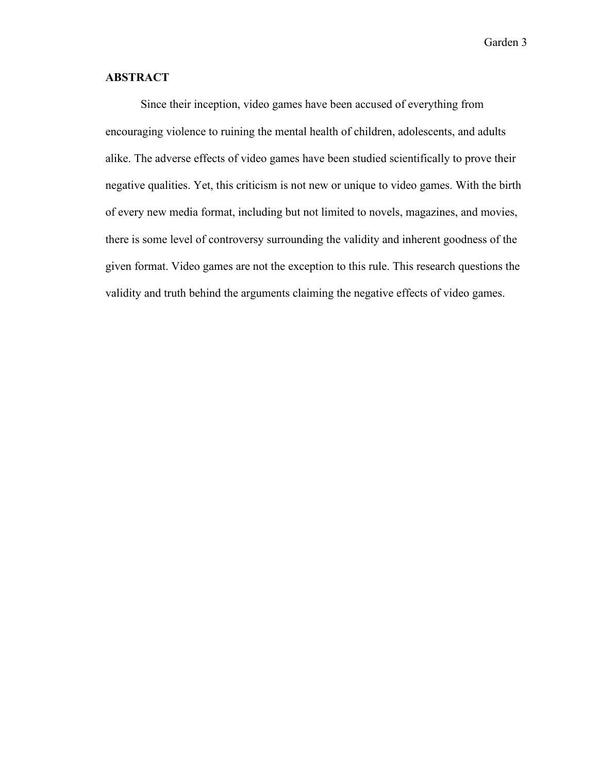#### **ABSTRACT**

Since their inception, video games have been accused of everything from encouraging violence to ruining the mental health of children, adolescents, and adults alike. The adverse effects of video games have been studied scientifically to prove their negative qualities. Yet, this criticism is not new or unique to video games. With the birth of every new media format, including but not limited to novels, magazines, and movies, there is some level of controversy surrounding the validity and inherent goodness of the given format. Video games are not the exception to this rule. This research questions the validity and truth behind the arguments claiming the negative effects of video games.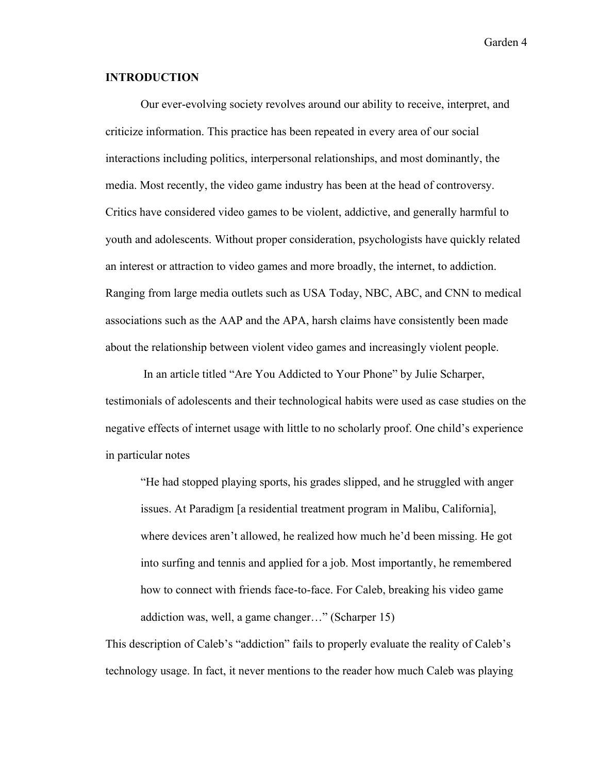#### **INTRODUCTION**

Our ever-evolving society revolves around our ability to receive, interpret, and criticize information. This practice has been repeated in every area of our social interactions including politics, interpersonal relationships, and most dominantly, the media. Most recently, the video game industry has been at the head of controversy. Critics have considered video games to be violent, addictive, and generally harmful to youth and adolescents. Without proper consideration, psychologists have quickly related an interest or attraction to video games and more broadly, the internet, to addiction. Ranging from large media outlets such as USA Today, NBC, ABC, and CNN to medical associations such as the AAP and the APA, harsh claims have consistently been made about the relationship between violent video games and increasingly violent people.

In an article titled "Are You Addicted to Your Phone" by Julie Scharper, testimonials of adolescents and their technological habits were used as case studies on the negative effects of internet usage with little to no scholarly proof. One child's experience in particular notes

"He had stopped playing sports, his grades slipped, and he struggled with anger issues. At Paradigm [a residential treatment program in Malibu, California], where devices aren't allowed, he realized how much he'd been missing. He got into surfing and tennis and applied for a job. Most importantly, he remembered how to connect with friends face-to-face. For Caleb, breaking his video game addiction was, well, a game changer…" (Scharper 15)

This description of Caleb's "addiction" fails to properly evaluate the reality of Caleb's technology usage. In fact, it never mentions to the reader how much Caleb was playing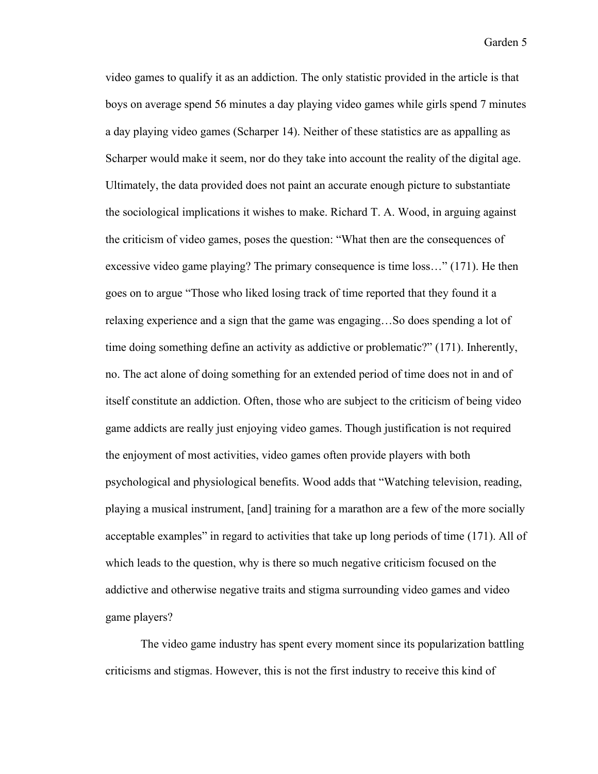video games to qualify it as an addiction. The only statistic provided in the article is that boys on average spend 56 minutes a day playing video games while girls spend 7 minutes a day playing video games (Scharper 14). Neither of these statistics are as appalling as Scharper would make it seem, nor do they take into account the reality of the digital age. Ultimately, the data provided does not paint an accurate enough picture to substantiate the sociological implications it wishes to make. Richard T. A. Wood, in arguing against the criticism of video games, poses the question: "What then are the consequences of excessive video game playing? The primary consequence is time loss…" (171). He then goes on to argue "Those who liked losing track of time reported that they found it a relaxing experience and a sign that the game was engaging…So does spending a lot of time doing something define an activity as addictive or problematic?" (171). Inherently, no. The act alone of doing something for an extended period of time does not in and of itself constitute an addiction. Often, those who are subject to the criticism of being video game addicts are really just enjoying video games. Though justification is not required the enjoyment of most activities, video games often provide players with both psychological and physiological benefits. Wood adds that "Watching television, reading, playing a musical instrument, [and] training for a marathon are a few of the more socially acceptable examples" in regard to activities that take up long periods of time (171). All of which leads to the question, why is there so much negative criticism focused on the addictive and otherwise negative traits and stigma surrounding video games and video game players?

The video game industry has spent every moment since its popularization battling criticisms and stigmas. However, this is not the first industry to receive this kind of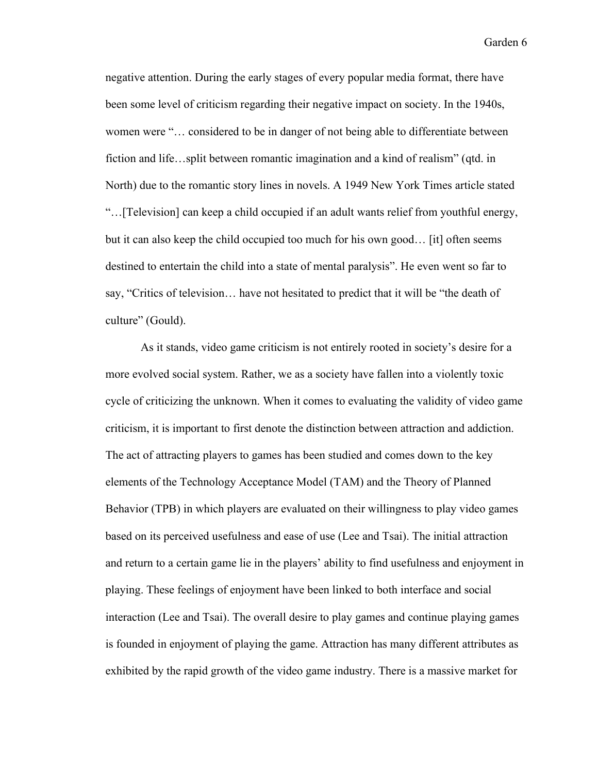negative attention. During the early stages of every popular media format, there have been some level of criticism regarding their negative impact on society. In the 1940s, women were "… considered to be in danger of not being able to differentiate between fiction and life…split between romantic imagination and a kind of realism" (qtd. in North) due to the romantic story lines in novels. A 1949 New York Times article stated "…[Television] can keep a child occupied if an adult wants relief from youthful energy, but it can also keep the child occupied too much for his own good… [it] often seems destined to entertain the child into a state of mental paralysis". He even went so far to say, "Critics of television… have not hesitated to predict that it will be "the death of culture" (Gould).

As it stands, video game criticism is not entirely rooted in society's desire for a more evolved social system. Rather, we as a society have fallen into a violently toxic cycle of criticizing the unknown. When it comes to evaluating the validity of video game criticism, it is important to first denote the distinction between attraction and addiction. The act of attracting players to games has been studied and comes down to the key elements of the Technology Acceptance Model (TAM) and the Theory of Planned Behavior (TPB) in which players are evaluated on their willingness to play video games based on its perceived usefulness and ease of use (Lee and Tsai). The initial attraction and return to a certain game lie in the players' ability to find usefulness and enjoyment in playing. These feelings of enjoyment have been linked to both interface and social interaction (Lee and Tsai). The overall desire to play games and continue playing games is founded in enjoyment of playing the game. Attraction has many different attributes as exhibited by the rapid growth of the video game industry. There is a massive market for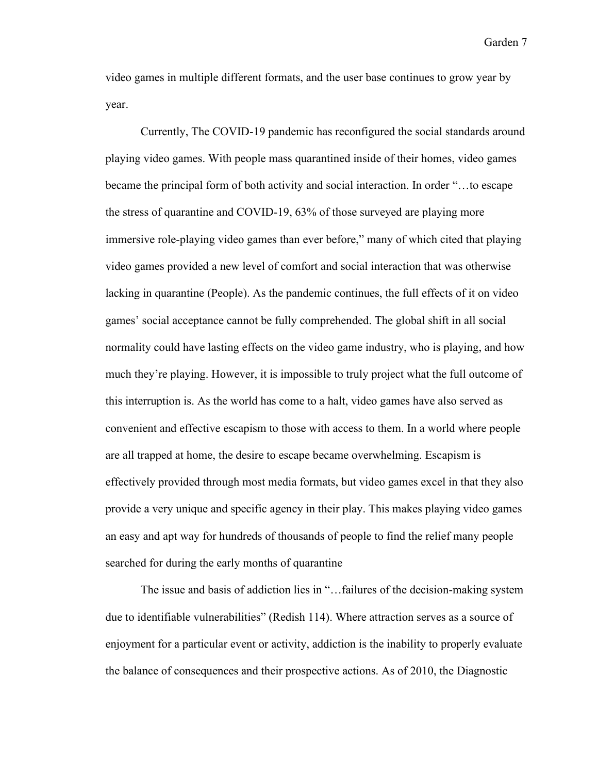video games in multiple different formats, and the user base continues to grow year by year.

Currently, The COVID-19 pandemic has reconfigured the social standards around playing video games. With people mass quarantined inside of their homes, video games became the principal form of both activity and social interaction. In order "…to escape the stress of quarantine and COVID-19, 63% of those surveyed are playing more immersive role-playing video games than ever before," many of which cited that playing video games provided a new level of comfort and social interaction that was otherwise lacking in quarantine (People). As the pandemic continues, the full effects of it on video games' social acceptance cannot be fully comprehended. The global shift in all social normality could have lasting effects on the video game industry, who is playing, and how much they're playing. However, it is impossible to truly project what the full outcome of this interruption is. As the world has come to a halt, video games have also served as convenient and effective escapism to those with access to them. In a world where people are all trapped at home, the desire to escape became overwhelming. Escapism is effectively provided through most media formats, but video games excel in that they also provide a very unique and specific agency in their play. This makes playing video games an easy and apt way for hundreds of thousands of people to find the relief many people searched for during the early months of quarantine

The issue and basis of addiction lies in "…failures of the decision-making system due to identifiable vulnerabilities" (Redish 114). Where attraction serves as a source of enjoyment for a particular event or activity, addiction is the inability to properly evaluate the balance of consequences and their prospective actions. As of 2010, the Diagnostic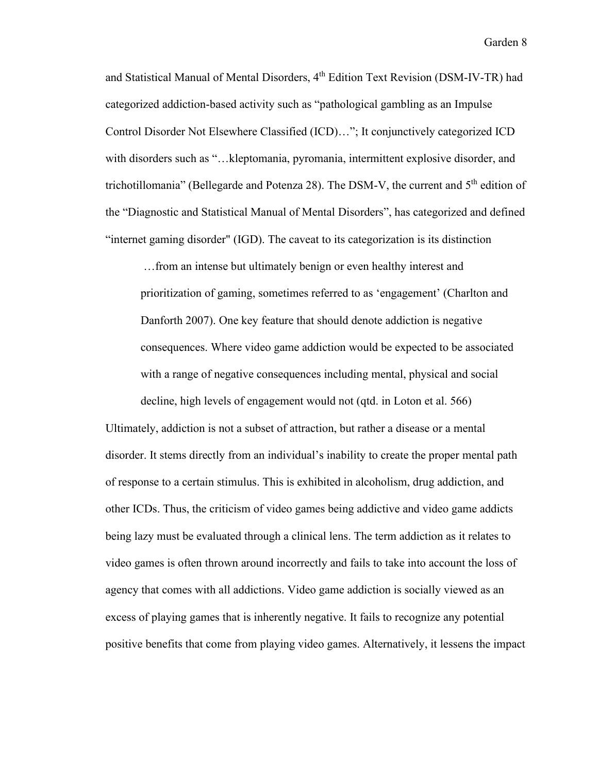and Statistical Manual of Mental Disorders, 4<sup>th</sup> Edition Text Revision (DSM-IV-TR) had categorized addiction-based activity such as "pathological gambling as an Impulse Control Disorder Not Elsewhere Classified (ICD)…"; It conjunctively categorized ICD with disorders such as "...kleptomania, pyromania, intermittent explosive disorder, and trichotillomania" (Bellegarde and Potenza 28). The DSM-V, the current and  $5<sup>th</sup>$  edition of the "Diagnostic and Statistical Manual of Mental Disorders", has categorized and defined "internet gaming disorder" (IGD). The caveat to its categorization is its distinction

…from an intense but ultimately benign or even healthy interest and prioritization of gaming, sometimes referred to as 'engagement' (Charlton and Danforth 2007). One key feature that should denote addiction is negative consequences. Where video game addiction would be expected to be associated with a range of negative consequences including mental, physical and social decline, high levels of engagement would not (qtd. in Loton et al. 566)

Ultimately, addiction is not a subset of attraction, but rather a disease or a mental disorder. It stems directly from an individual's inability to create the proper mental path of response to a certain stimulus. This is exhibited in alcoholism, drug addiction, and other ICDs. Thus, the criticism of video games being addictive and video game addicts being lazy must be evaluated through a clinical lens. The term addiction as it relates to video games is often thrown around incorrectly and fails to take into account the loss of agency that comes with all addictions. Video game addiction is socially viewed as an excess of playing games that is inherently negative. It fails to recognize any potential positive benefits that come from playing video games. Alternatively, it lessens the impact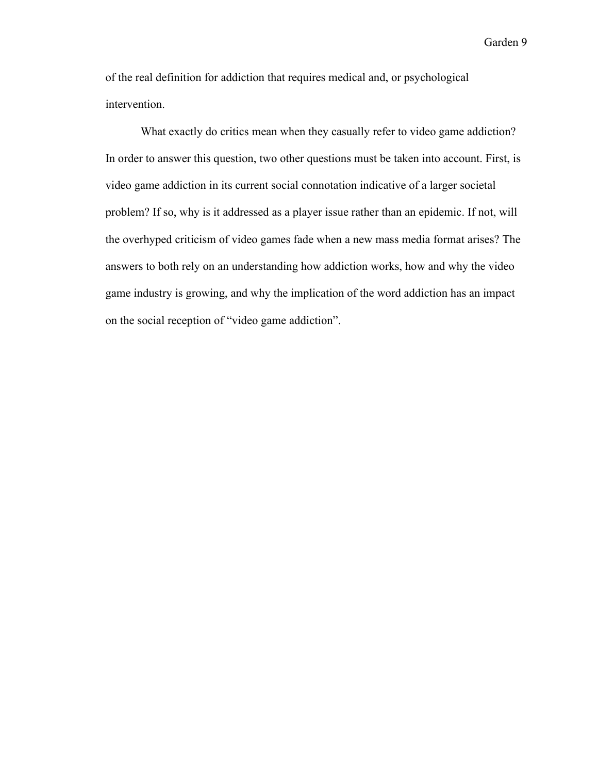of the real definition for addiction that requires medical and, or psychological intervention.

What exactly do critics mean when they casually refer to video game addiction? In order to answer this question, two other questions must be taken into account. First, is video game addiction in its current social connotation indicative of a larger societal problem? If so, why is it addressed as a player issue rather than an epidemic. If not, will the overhyped criticism of video games fade when a new mass media format arises? The answers to both rely on an understanding how addiction works, how and why the video game industry is growing, and why the implication of the word addiction has an impact on the social reception of "video game addiction".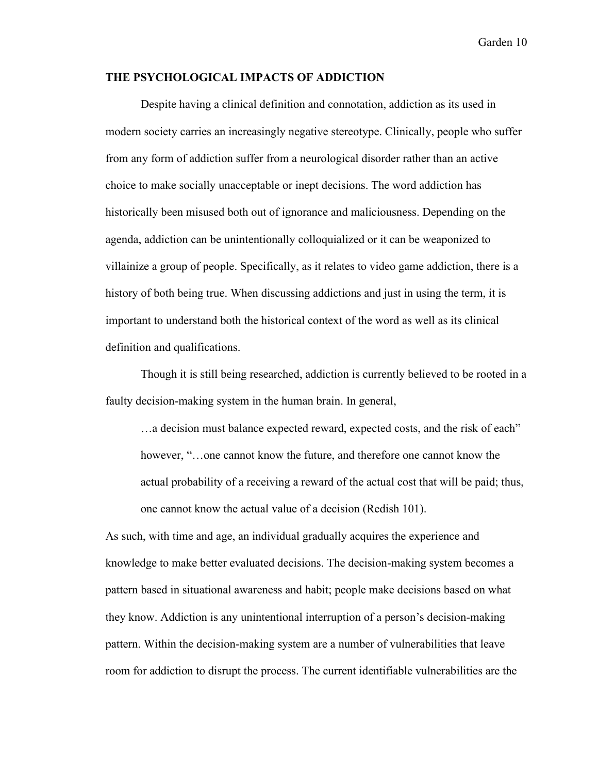#### **THE PSYCHOLOGICAL IMPACTS OF ADDICTION**

Despite having a clinical definition and connotation, addiction as its used in modern society carries an increasingly negative stereotype. Clinically, people who suffer from any form of addiction suffer from a neurological disorder rather than an active choice to make socially unacceptable or inept decisions. The word addiction has historically been misused both out of ignorance and maliciousness. Depending on the agenda, addiction can be unintentionally colloquialized or it can be weaponized to villainize a group of people. Specifically, as it relates to video game addiction, there is a history of both being true. When discussing addictions and just in using the term, it is important to understand both the historical context of the word as well as its clinical definition and qualifications.

Though it is still being researched, addiction is currently believed to be rooted in a faulty decision-making system in the human brain. In general,

...a decision must balance expected reward, expected costs, and the risk of each" however, "…one cannot know the future, and therefore one cannot know the actual probability of a receiving a reward of the actual cost that will be paid; thus, one cannot know the actual value of a decision (Redish 101).

As such, with time and age, an individual gradually acquires the experience and knowledge to make better evaluated decisions. The decision-making system becomes a pattern based in situational awareness and habit; people make decisions based on what they know. Addiction is any unintentional interruption of a person's decision-making pattern. Within the decision-making system are a number of vulnerabilities that leave room for addiction to disrupt the process. The current identifiable vulnerabilities are the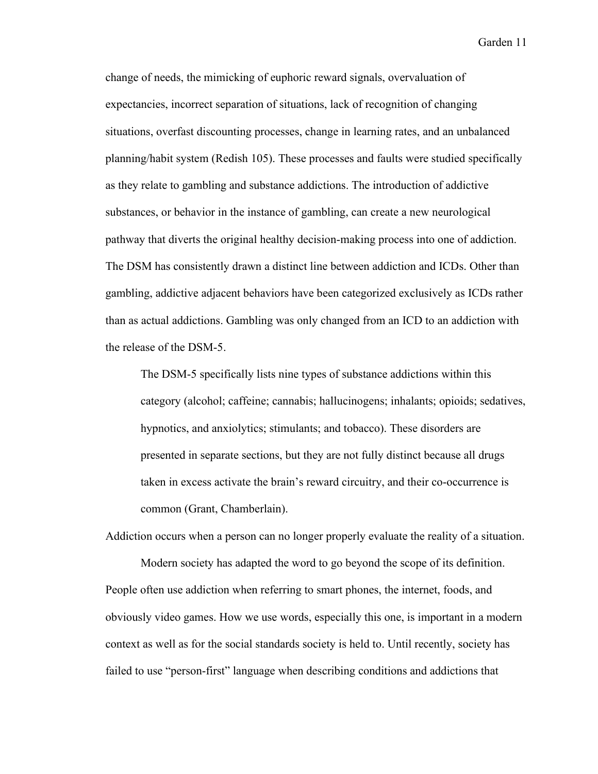change of needs, the mimicking of euphoric reward signals, overvaluation of expectancies, incorrect separation of situations, lack of recognition of changing situations, overfast discounting processes, change in learning rates, and an unbalanced planning/habit system (Redish 105). These processes and faults were studied specifically as they relate to gambling and substance addictions. The introduction of addictive substances, or behavior in the instance of gambling, can create a new neurological pathway that diverts the original healthy decision-making process into one of addiction. The DSM has consistently drawn a distinct line between addiction and ICDs. Other than gambling, addictive adjacent behaviors have been categorized exclusively as ICDs rather than as actual addictions. Gambling was only changed from an ICD to an addiction with the release of the DSM-5.

The DSM-5 specifically lists nine types of substance addictions within this category (alcohol; caffeine; cannabis; hallucinogens; inhalants; opioids; sedatives, hypnotics, and anxiolytics; stimulants; and tobacco). These disorders are presented in separate sections, but they are not fully distinct because all drugs taken in excess activate the brain's reward circuitry, and their co-occurrence is common (Grant, Chamberlain).

Modern society has adapted the word to go beyond the scope of its definition. People often use addiction when referring to smart phones, the internet, foods, and obviously video games. How we use words, especially this one, is important in a modern context as well as for the social standards society is held to. Until recently, society has failed to use "person-first" language when describing conditions and addictions that

Addiction occurs when a person can no longer properly evaluate the reality of a situation.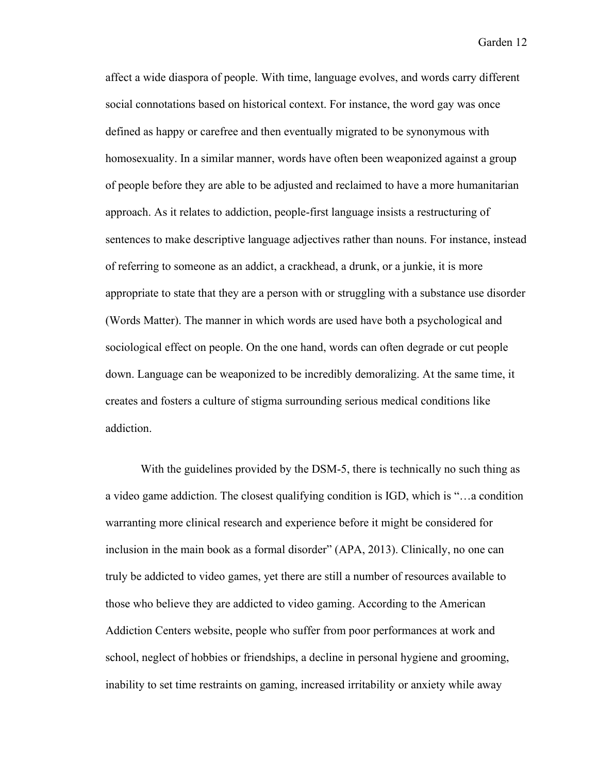affect a wide diaspora of people. With time, language evolves, and words carry different social connotations based on historical context. For instance, the word gay was once defined as happy or carefree and then eventually migrated to be synonymous with homosexuality. In a similar manner, words have often been weaponized against a group of people before they are able to be adjusted and reclaimed to have a more humanitarian approach. As it relates to addiction, people-first language insists a restructuring of sentences to make descriptive language adjectives rather than nouns. For instance, instead of referring to someone as an addict, a crackhead, a drunk, or a junkie, it is more appropriate to state that they are a person with or struggling with a substance use disorder (Words Matter). The manner in which words are used have both a psychological and sociological effect on people. On the one hand, words can often degrade or cut people down. Language can be weaponized to be incredibly demoralizing. At the same time, it creates and fosters a culture of stigma surrounding serious medical conditions like addiction.

With the guidelines provided by the DSM-5, there is technically no such thing as a video game addiction. The closest qualifying condition is IGD, which is "…a condition warranting more clinical research and experience before it might be considered for inclusion in the main book as a formal disorder" (APA, 2013). Clinically, no one can truly be addicted to video games, yet there are still a number of resources available to those who believe they are addicted to video gaming. According to the American Addiction Centers website, people who suffer from poor performances at work and school, neglect of hobbies or friendships, a decline in personal hygiene and grooming, inability to set time restraints on gaming, increased irritability or anxiety while away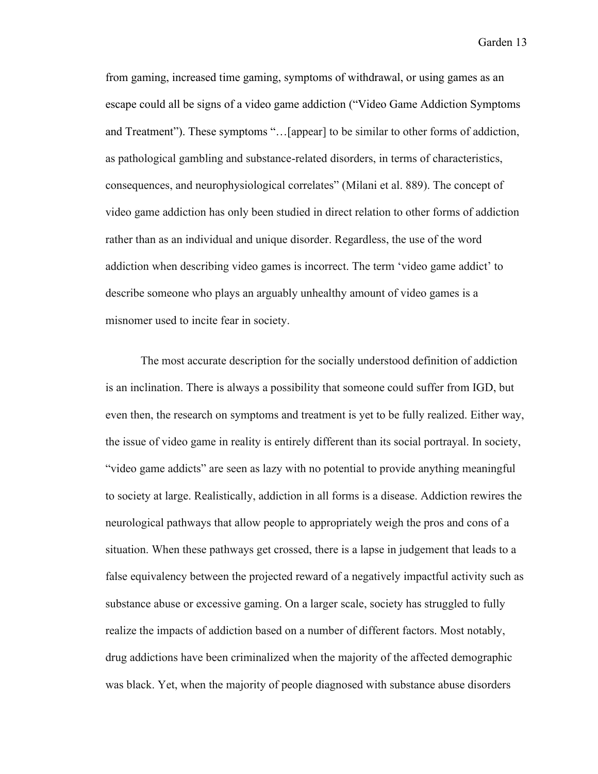from gaming, increased time gaming, symptoms of withdrawal, or using games as an escape could all be signs of a video game addiction ("Video Game Addiction Symptoms and Treatment"). These symptoms "…[appear] to be similar to other forms of addiction, as pathological gambling and substance-related disorders, in terms of characteristics, consequences, and neurophysiological correlates" (Milani et al. 889). The concept of video game addiction has only been studied in direct relation to other forms of addiction rather than as an individual and unique disorder. Regardless, the use of the word addiction when describing video games is incorrect. The term 'video game addict' to describe someone who plays an arguably unhealthy amount of video games is a misnomer used to incite fear in society.

The most accurate description for the socially understood definition of addiction is an inclination. There is always a possibility that someone could suffer from IGD, but even then, the research on symptoms and treatment is yet to be fully realized. Either way, the issue of video game in reality is entirely different than its social portrayal. In society, "video game addicts" are seen as lazy with no potential to provide anything meaningful to society at large. Realistically, addiction in all forms is a disease. Addiction rewires the neurological pathways that allow people to appropriately weigh the pros and cons of a situation. When these pathways get crossed, there is a lapse in judgement that leads to a false equivalency between the projected reward of a negatively impactful activity such as substance abuse or excessive gaming. On a larger scale, society has struggled to fully realize the impacts of addiction based on a number of different factors. Most notably, drug addictions have been criminalized when the majority of the affected demographic was black. Yet, when the majority of people diagnosed with substance abuse disorders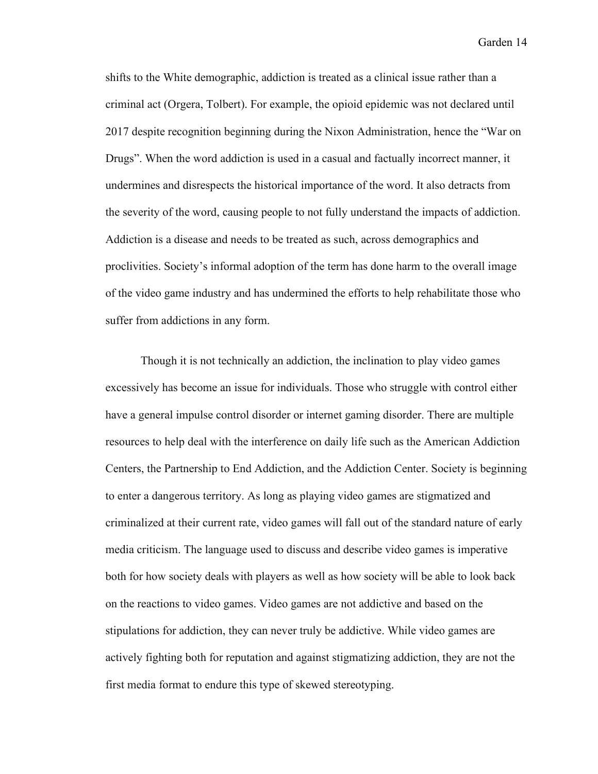shifts to the White demographic, addiction is treated as a clinical issue rather than a criminal act (Orgera, Tolbert). For example, the opioid epidemic was not declared until 2017 despite recognition beginning during the Nixon Administration, hence the "War on Drugs". When the word addiction is used in a casual and factually incorrect manner, it undermines and disrespects the historical importance of the word. It also detracts from the severity of the word, causing people to not fully understand the impacts of addiction. Addiction is a disease and needs to be treated as such, across demographics and proclivities. Society's informal adoption of the term has done harm to the overall image of the video game industry and has undermined the efforts to help rehabilitate those who suffer from addictions in any form.

Though it is not technically an addiction, the inclination to play video games excessively has become an issue for individuals. Those who struggle with control either have a general impulse control disorder or internet gaming disorder. There are multiple resources to help deal with the interference on daily life such as the American Addiction Centers, the Partnership to End Addiction, and the Addiction Center. Society is beginning to enter a dangerous territory. As long as playing video games are stigmatized and criminalized at their current rate, video games will fall out of the standard nature of early media criticism. The language used to discuss and describe video games is imperative both for how society deals with players as well as how society will be able to look back on the reactions to video games. Video games are not addictive and based on the stipulations for addiction, they can never truly be addictive. While video games are actively fighting both for reputation and against stigmatizing addiction, they are not the first media format to endure this type of skewed stereotyping.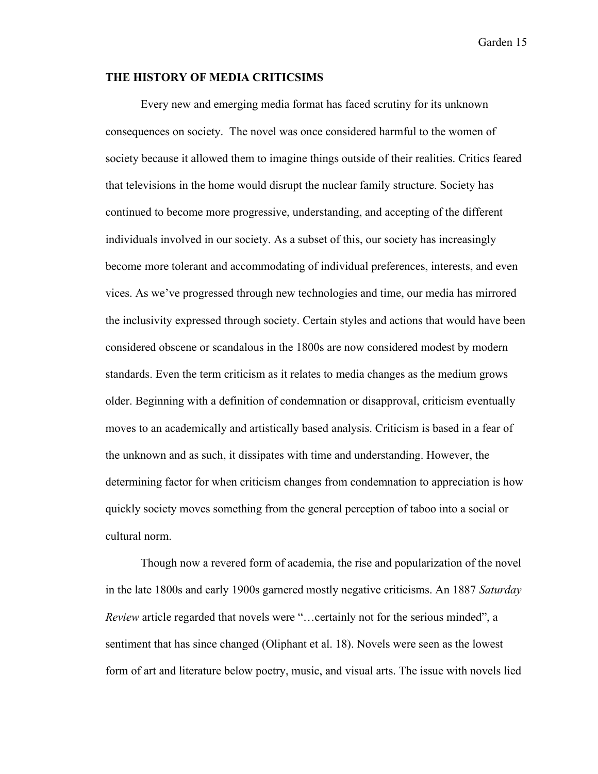#### **THE HISTORY OF MEDIA CRITICSIMS**

Every new and emerging media format has faced scrutiny for its unknown consequences on society. The novel was once considered harmful to the women of society because it allowed them to imagine things outside of their realities. Critics feared that televisions in the home would disrupt the nuclear family structure. Society has continued to become more progressive, understanding, and accepting of the different individuals involved in our society. As a subset of this, our society has increasingly become more tolerant and accommodating of individual preferences, interests, and even vices. As we've progressed through new technologies and time, our media has mirrored the inclusivity expressed through society. Certain styles and actions that would have been considered obscene or scandalous in the 1800s are now considered modest by modern standards. Even the term criticism as it relates to media changes as the medium grows older. Beginning with a definition of condemnation or disapproval, criticism eventually moves to an academically and artistically based analysis. Criticism is based in a fear of the unknown and as such, it dissipates with time and understanding. However, the determining factor for when criticism changes from condemnation to appreciation is how quickly society moves something from the general perception of taboo into a social or cultural norm.

Though now a revered form of academia, the rise and popularization of the novel in the late 1800s and early 1900s garnered mostly negative criticisms. An 1887 *Saturday Review* article regarded that novels were "…certainly not for the serious minded", a sentiment that has since changed (Oliphant et al. 18). Novels were seen as the lowest form of art and literature below poetry, music, and visual arts. The issue with novels lied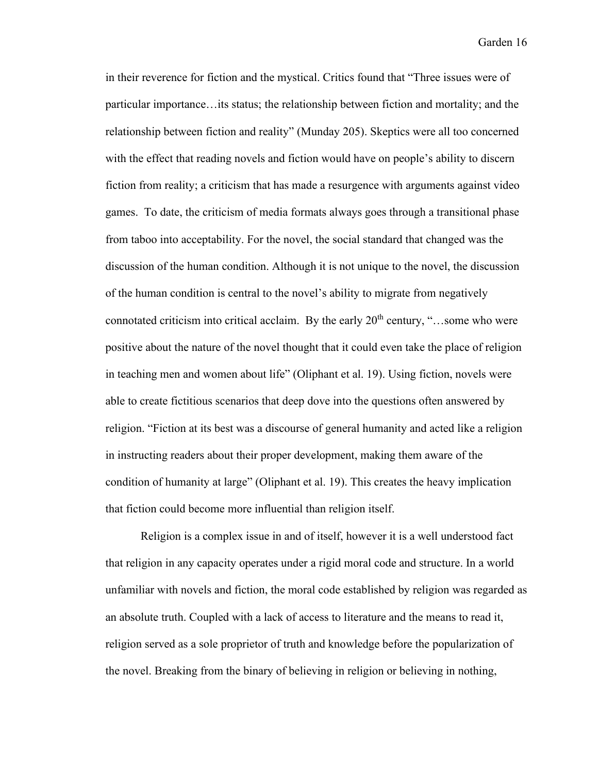in their reverence for fiction and the mystical. Critics found that "Three issues were of particular importance…its status; the relationship between fiction and mortality; and the relationship between fiction and reality" (Munday 205). Skeptics were all too concerned with the effect that reading novels and fiction would have on people's ability to discern fiction from reality; a criticism that has made a resurgence with arguments against video games. To date, the criticism of media formats always goes through a transitional phase from taboo into acceptability. For the novel, the social standard that changed was the discussion of the human condition. Although it is not unique to the novel, the discussion of the human condition is central to the novel's ability to migrate from negatively connotated criticism into critical acclaim. By the early  $20<sup>th</sup>$  century, "...some who were positive about the nature of the novel thought that it could even take the place of religion in teaching men and women about life" (Oliphant et al. 19). Using fiction, novels were able to create fictitious scenarios that deep dove into the questions often answered by religion. "Fiction at its best was a discourse of general humanity and acted like a religion in instructing readers about their proper development, making them aware of the condition of humanity at large" (Oliphant et al. 19). This creates the heavy implication that fiction could become more influential than religion itself.

Religion is a complex issue in and of itself, however it is a well understood fact that religion in any capacity operates under a rigid moral code and structure. In a world unfamiliar with novels and fiction, the moral code established by religion was regarded as an absolute truth. Coupled with a lack of access to literature and the means to read it, religion served as a sole proprietor of truth and knowledge before the popularization of the novel. Breaking from the binary of believing in religion or believing in nothing,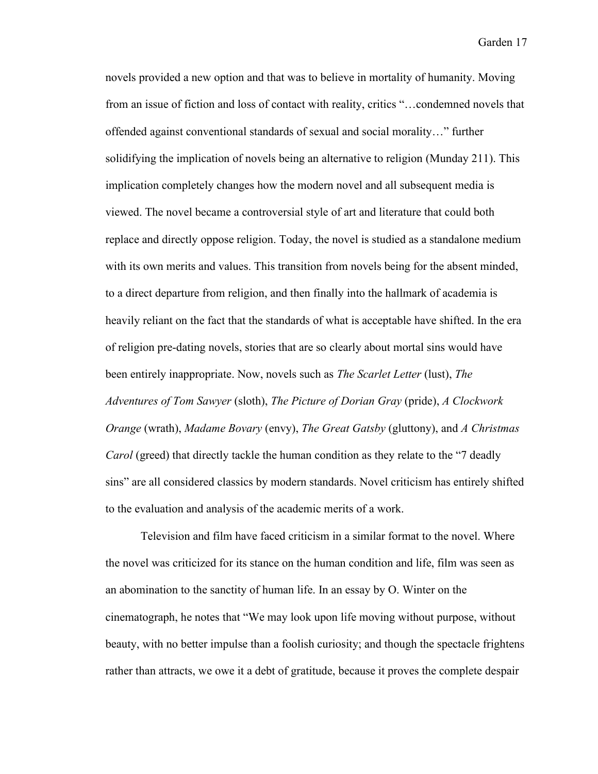novels provided a new option and that was to believe in mortality of humanity. Moving from an issue of fiction and loss of contact with reality, critics "…condemned novels that offended against conventional standards of sexual and social morality…" further solidifying the implication of novels being an alternative to religion (Munday 211). This implication completely changes how the modern novel and all subsequent media is viewed. The novel became a controversial style of art and literature that could both replace and directly oppose religion. Today, the novel is studied as a standalone medium with its own merits and values. This transition from novels being for the absent minded, to a direct departure from religion, and then finally into the hallmark of academia is heavily reliant on the fact that the standards of what is acceptable have shifted. In the era of religion pre-dating novels, stories that are so clearly about mortal sins would have been entirely inappropriate. Now, novels such as *The Scarlet Letter* (lust), *The Adventures of Tom Sawyer* (sloth), *The Picture of Dorian Gray* (pride), *A Clockwork Orange* (wrath), *Madame Bovary* (envy), *The Great Gatsby* (gluttony), and *A Christmas Carol* (greed) that directly tackle the human condition as they relate to the "7 deadly sins" are all considered classics by modern standards. Novel criticism has entirely shifted to the evaluation and analysis of the academic merits of a work.

Television and film have faced criticism in a similar format to the novel. Where the novel was criticized for its stance on the human condition and life, film was seen as an abomination to the sanctity of human life. In an essay by O. Winter on the cinematograph, he notes that "We may look upon life moving without purpose, without beauty, with no better impulse than a foolish curiosity; and though the spectacle frightens rather than attracts, we owe it a debt of gratitude, because it proves the complete despair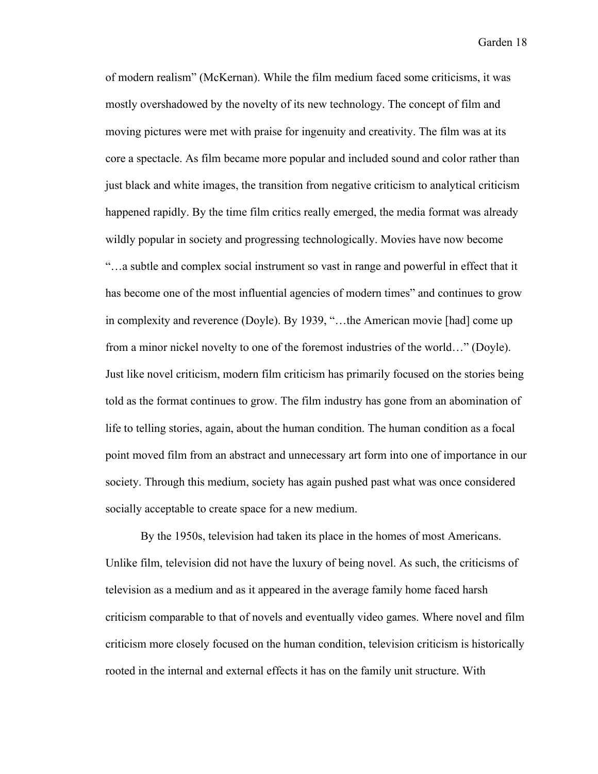of modern realism" (McKernan). While the film medium faced some criticisms, it was mostly overshadowed by the novelty of its new technology. The concept of film and moving pictures were met with praise for ingenuity and creativity. The film was at its core a spectacle. As film became more popular and included sound and color rather than just black and white images, the transition from negative criticism to analytical criticism happened rapidly. By the time film critics really emerged, the media format was already wildly popular in society and progressing technologically. Movies have now become "…a subtle and complex social instrument so vast in range and powerful in effect that it has become one of the most influential agencies of modern times" and continues to grow in complexity and reverence (Doyle). By 1939, "…the American movie [had] come up from a minor nickel novelty to one of the foremost industries of the world…" (Doyle). Just like novel criticism, modern film criticism has primarily focused on the stories being told as the format continues to grow. The film industry has gone from an abomination of life to telling stories, again, about the human condition. The human condition as a focal point moved film from an abstract and unnecessary art form into one of importance in our society. Through this medium, society has again pushed past what was once considered socially acceptable to create space for a new medium.

By the 1950s, television had taken its place in the homes of most Americans. Unlike film, television did not have the luxury of being novel. As such, the criticisms of television as a medium and as it appeared in the average family home faced harsh criticism comparable to that of novels and eventually video games. Where novel and film criticism more closely focused on the human condition, television criticism is historically rooted in the internal and external effects it has on the family unit structure. With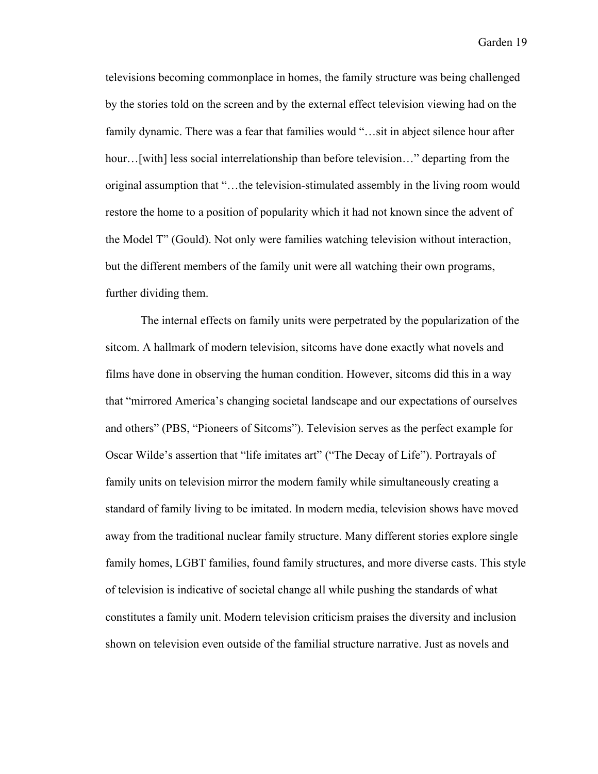televisions becoming commonplace in homes, the family structure was being challenged by the stories told on the screen and by the external effect television viewing had on the family dynamic. There was a fear that families would "...sit in abject silence hour after hour...[with] less social interrelationship than before television..." departing from the original assumption that "…the television-stimulated assembly in the living room would restore the home to a position of popularity which it had not known since the advent of the Model T" (Gould). Not only were families watching television without interaction, but the different members of the family unit were all watching their own programs, further dividing them.

The internal effects on family units were perpetrated by the popularization of the sitcom. A hallmark of modern television, sitcoms have done exactly what novels and films have done in observing the human condition. However, sitcoms did this in a way that "mirrored America's changing societal landscape and our expectations of ourselves and others" (PBS, "Pioneers of Sitcoms"). Television serves as the perfect example for Oscar Wilde's assertion that "life imitates art" ("The Decay of Life"). Portrayals of family units on television mirror the modern family while simultaneously creating a standard of family living to be imitated. In modern media, television shows have moved away from the traditional nuclear family structure. Many different stories explore single family homes, LGBT families, found family structures, and more diverse casts. This style of television is indicative of societal change all while pushing the standards of what constitutes a family unit. Modern television criticism praises the diversity and inclusion shown on television even outside of the familial structure narrative. Just as novels and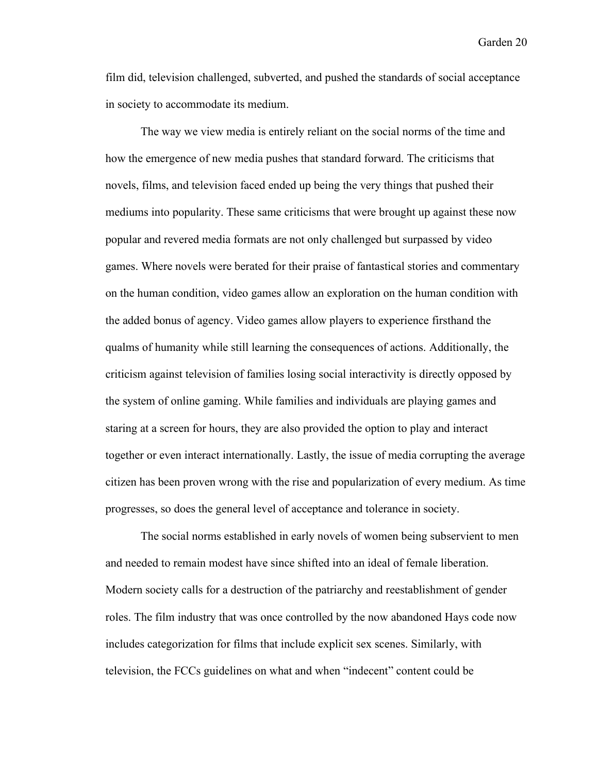film did, television challenged, subverted, and pushed the standards of social acceptance in society to accommodate its medium.

The way we view media is entirely reliant on the social norms of the time and how the emergence of new media pushes that standard forward. The criticisms that novels, films, and television faced ended up being the very things that pushed their mediums into popularity. These same criticisms that were brought up against these now popular and revered media formats are not only challenged but surpassed by video games. Where novels were berated for their praise of fantastical stories and commentary on the human condition, video games allow an exploration on the human condition with the added bonus of agency. Video games allow players to experience firsthand the qualms of humanity while still learning the consequences of actions. Additionally, the criticism against television of families losing social interactivity is directly opposed by the system of online gaming. While families and individuals are playing games and staring at a screen for hours, they are also provided the option to play and interact together or even interact internationally. Lastly, the issue of media corrupting the average citizen has been proven wrong with the rise and popularization of every medium. As time progresses, so does the general level of acceptance and tolerance in society.

The social norms established in early novels of women being subservient to men and needed to remain modest have since shifted into an ideal of female liberation. Modern society calls for a destruction of the patriarchy and reestablishment of gender roles. The film industry that was once controlled by the now abandoned Hays code now includes categorization for films that include explicit sex scenes. Similarly, with television, the FCCs guidelines on what and when "indecent" content could be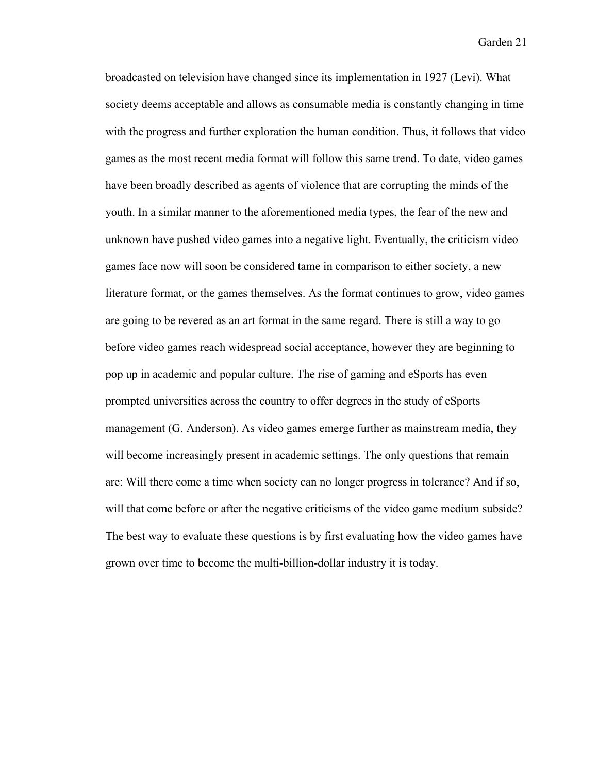broadcasted on television have changed since its implementation in 1927 (Levi). What society deems acceptable and allows as consumable media is constantly changing in time with the progress and further exploration the human condition. Thus, it follows that video games as the most recent media format will follow this same trend. To date, video games have been broadly described as agents of violence that are corrupting the minds of the youth. In a similar manner to the aforementioned media types, the fear of the new and unknown have pushed video games into a negative light. Eventually, the criticism video games face now will soon be considered tame in comparison to either society, a new literature format, or the games themselves. As the format continues to grow, video games are going to be revered as an art format in the same regard. There is still a way to go before video games reach widespread social acceptance, however they are beginning to pop up in academic and popular culture. The rise of gaming and eSports has even prompted universities across the country to offer degrees in the study of eSports management (G. Anderson). As video games emerge further as mainstream media, they will become increasingly present in academic settings. The only questions that remain are: Will there come a time when society can no longer progress in tolerance? And if so, will that come before or after the negative criticisms of the video game medium subside? The best way to evaluate these questions is by first evaluating how the video games have grown over time to become the multi-billion-dollar industry it is today.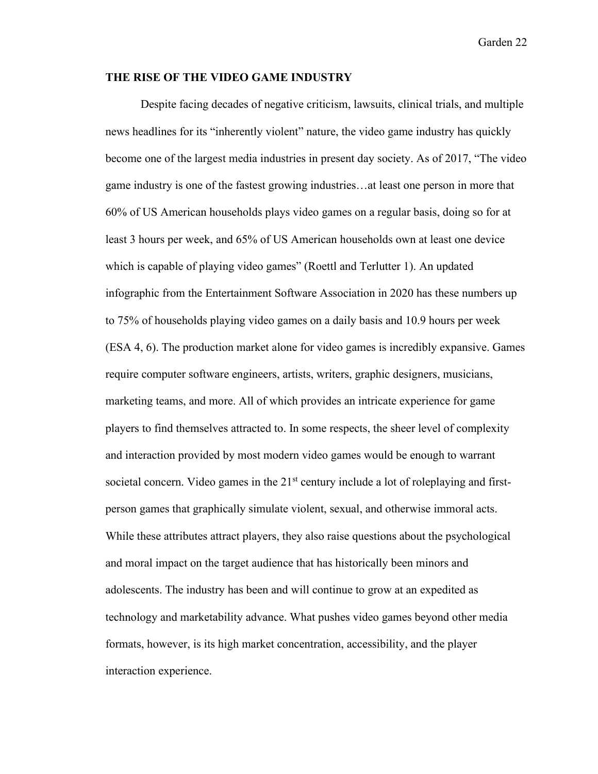#### **THE RISE OF THE VIDEO GAME INDUSTRY**

Despite facing decades of negative criticism, lawsuits, clinical trials, and multiple news headlines for its "inherently violent" nature, the video game industry has quickly become one of the largest media industries in present day society. As of 2017, "The video game industry is one of the fastest growing industries…at least one person in more that 60% of US American households plays video games on a regular basis, doing so for at least 3 hours per week, and 65% of US American households own at least one device which is capable of playing video games" (Roettl and Terlutter 1). An updated infographic from the Entertainment Software Association in 2020 has these numbers up to 75% of households playing video games on a daily basis and 10.9 hours per week (ESA 4, 6). The production market alone for video games is incredibly expansive. Games require computer software engineers, artists, writers, graphic designers, musicians, marketing teams, and more. All of which provides an intricate experience for game players to find themselves attracted to. In some respects, the sheer level of complexity and interaction provided by most modern video games would be enough to warrant societal concern. Video games in the  $21<sup>st</sup>$  century include a lot of roleplaying and firstperson games that graphically simulate violent, sexual, and otherwise immoral acts. While these attributes attract players, they also raise questions about the psychological and moral impact on the target audience that has historically been minors and adolescents. The industry has been and will continue to grow at an expedited as technology and marketability advance. What pushes video games beyond other media formats, however, is its high market concentration, accessibility, and the player interaction experience.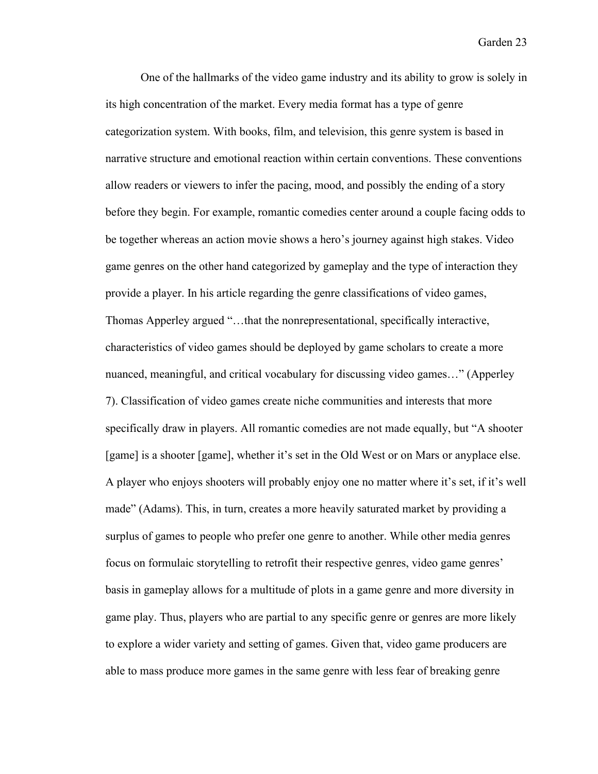One of the hallmarks of the video game industry and its ability to grow is solely in its high concentration of the market. Every media format has a type of genre categorization system. With books, film, and television, this genre system is based in narrative structure and emotional reaction within certain conventions. These conventions allow readers or viewers to infer the pacing, mood, and possibly the ending of a story before they begin. For example, romantic comedies center around a couple facing odds to be together whereas an action movie shows a hero's journey against high stakes. Video game genres on the other hand categorized by gameplay and the type of interaction they provide a player. In his article regarding the genre classifications of video games, Thomas Apperley argued "…that the nonrepresentational, specifically interactive, characteristics of video games should be deployed by game scholars to create a more nuanced, meaningful, and critical vocabulary for discussing video games…" (Apperley 7). Classification of video games create niche communities and interests that more specifically draw in players. All romantic comedies are not made equally, but "A shooter [game] is a shooter [game], whether it's set in the Old West or on Mars or anyplace else. A player who enjoys shooters will probably enjoy one no matter where it's set, if it's well made" (Adams). This, in turn, creates a more heavily saturated market by providing a surplus of games to people who prefer one genre to another. While other media genres focus on formulaic storytelling to retrofit their respective genres, video game genres' basis in gameplay allows for a multitude of plots in a game genre and more diversity in game play. Thus, players who are partial to any specific genre or genres are more likely to explore a wider variety and setting of games. Given that, video game producers are able to mass produce more games in the same genre with less fear of breaking genre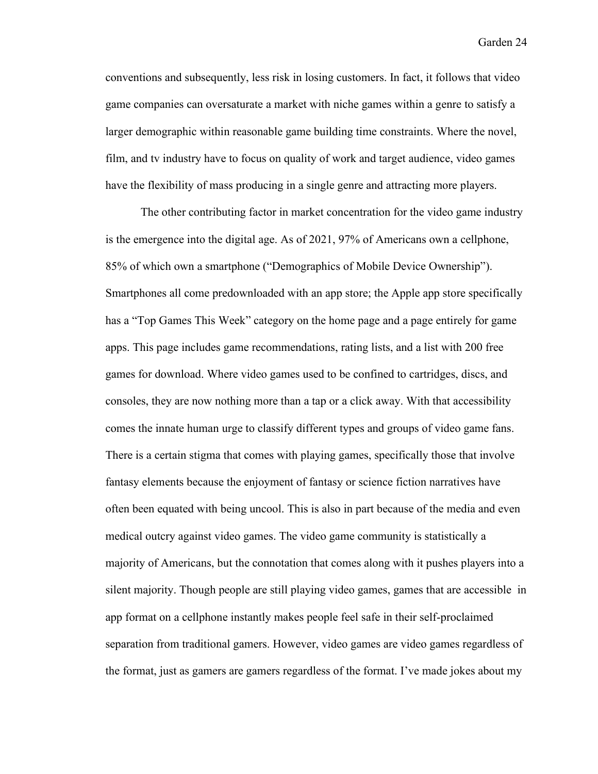conventions and subsequently, less risk in losing customers. In fact, it follows that video game companies can oversaturate a market with niche games within a genre to satisfy a larger demographic within reasonable game building time constraints. Where the novel, film, and tv industry have to focus on quality of work and target audience, video games have the flexibility of mass producing in a single genre and attracting more players.

The other contributing factor in market concentration for the video game industry is the emergence into the digital age. As of 2021, 97% of Americans own a cellphone, 85% of which own a smartphone ("Demographics of Mobile Device Ownership"). Smartphones all come predownloaded with an app store; the Apple app store specifically has a "Top Games This Week" category on the home page and a page entirely for game apps. This page includes game recommendations, rating lists, and a list with 200 free games for download. Where video games used to be confined to cartridges, discs, and consoles, they are now nothing more than a tap or a click away. With that accessibility comes the innate human urge to classify different types and groups of video game fans. There is a certain stigma that comes with playing games, specifically those that involve fantasy elements because the enjoyment of fantasy or science fiction narratives have often been equated with being uncool. This is also in part because of the media and even medical outcry against video games. The video game community is statistically a majority of Americans, but the connotation that comes along with it pushes players into a silent majority. Though people are still playing video games, games that are accessible in app format on a cellphone instantly makes people feel safe in their self-proclaimed separation from traditional gamers. However, video games are video games regardless of the format, just as gamers are gamers regardless of the format. I've made jokes about my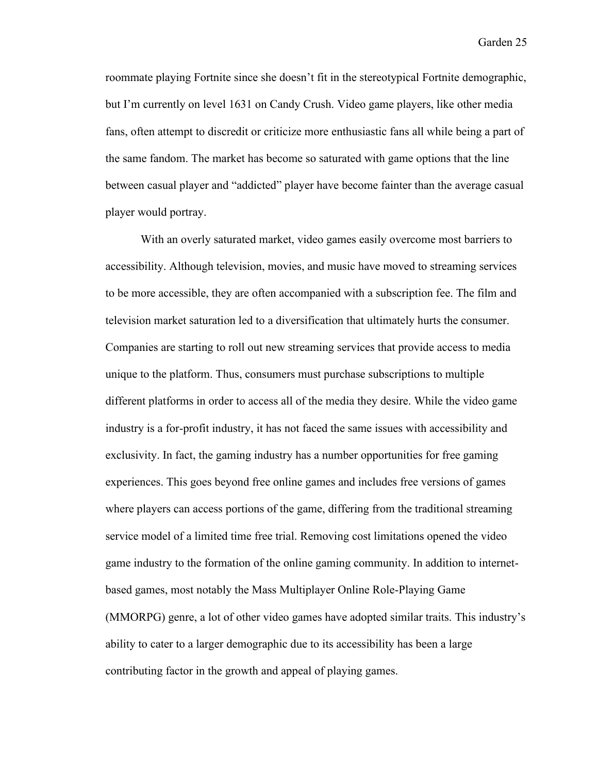roommate playing Fortnite since she doesn't fit in the stereotypical Fortnite demographic, but I'm currently on level 1631 on Candy Crush. Video game players, like other media fans, often attempt to discredit or criticize more enthusiastic fans all while being a part of the same fandom. The market has become so saturated with game options that the line between casual player and "addicted" player have become fainter than the average casual player would portray.

With an overly saturated market, video games easily overcome most barriers to accessibility. Although television, movies, and music have moved to streaming services to be more accessible, they are often accompanied with a subscription fee. The film and television market saturation led to a diversification that ultimately hurts the consumer. Companies are starting to roll out new streaming services that provide access to media unique to the platform. Thus, consumers must purchase subscriptions to multiple different platforms in order to access all of the media they desire. While the video game industry is a for-profit industry, it has not faced the same issues with accessibility and exclusivity. In fact, the gaming industry has a number opportunities for free gaming experiences. This goes beyond free online games and includes free versions of games where players can access portions of the game, differing from the traditional streaming service model of a limited time free trial. Removing cost limitations opened the video game industry to the formation of the online gaming community. In addition to internetbased games, most notably the Mass Multiplayer Online Role-Playing Game (MMORPG) genre, a lot of other video games have adopted similar traits. This industry's ability to cater to a larger demographic due to its accessibility has been a large contributing factor in the growth and appeal of playing games.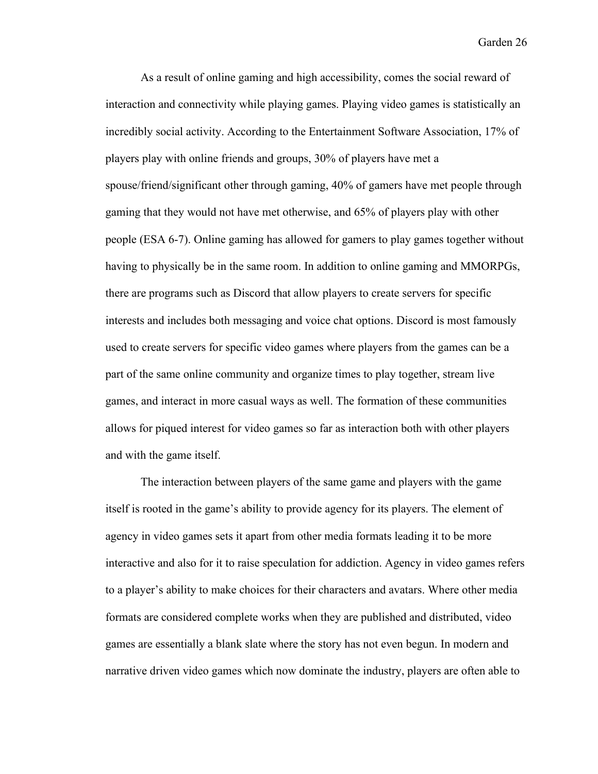As a result of online gaming and high accessibility, comes the social reward of interaction and connectivity while playing games. Playing video games is statistically an incredibly social activity. According to the Entertainment Software Association, 17% of players play with online friends and groups, 30% of players have met a spouse/friend/significant other through gaming, 40% of gamers have met people through gaming that they would not have met otherwise, and 65% of players play with other people (ESA 6-7). Online gaming has allowed for gamers to play games together without having to physically be in the same room. In addition to online gaming and MMORPGs, there are programs such as Discord that allow players to create servers for specific interests and includes both messaging and voice chat options. Discord is most famously used to create servers for specific video games where players from the games can be a part of the same online community and organize times to play together, stream live games, and interact in more casual ways as well. The formation of these communities allows for piqued interest for video games so far as interaction both with other players and with the game itself.

The interaction between players of the same game and players with the game itself is rooted in the game's ability to provide agency for its players. The element of agency in video games sets it apart from other media formats leading it to be more interactive and also for it to raise speculation for addiction. Agency in video games refers to a player's ability to make choices for their characters and avatars. Where other media formats are considered complete works when they are published and distributed, video games are essentially a blank slate where the story has not even begun. In modern and narrative driven video games which now dominate the industry, players are often able to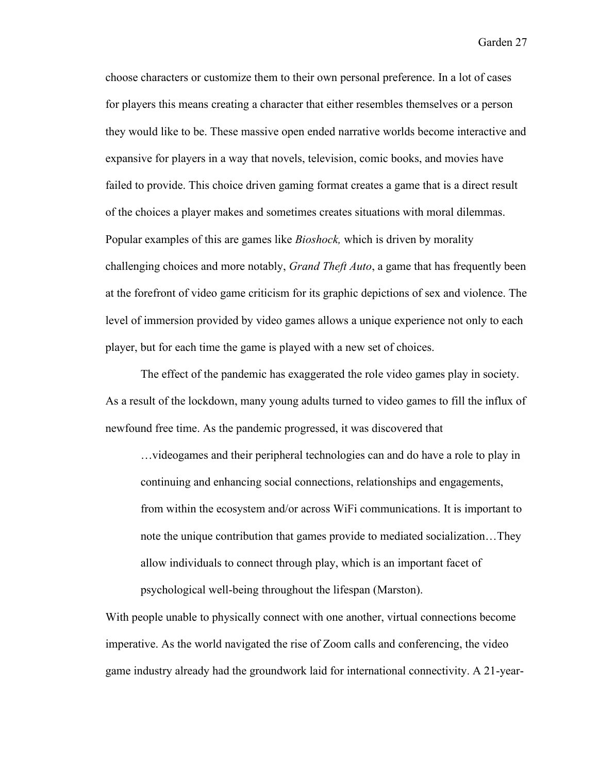choose characters or customize them to their own personal preference. In a lot of cases for players this means creating a character that either resembles themselves or a person they would like to be. These massive open ended narrative worlds become interactive and expansive for players in a way that novels, television, comic books, and movies have failed to provide. This choice driven gaming format creates a game that is a direct result of the choices a player makes and sometimes creates situations with moral dilemmas. Popular examples of this are games like *Bioshock,* which is driven by morality challenging choices and more notably, *Grand Theft Auto*, a game that has frequently been at the forefront of video game criticism for its graphic depictions of sex and violence. The level of immersion provided by video games allows a unique experience not only to each player, but for each time the game is played with a new set of choices.

The effect of the pandemic has exaggerated the role video games play in society. As a result of the lockdown, many young adults turned to video games to fill the influx of newfound free time. As the pandemic progressed, it was discovered that

…videogames and their peripheral technologies can and do have a role to play in continuing and enhancing social connections, relationships and engagements, from within the ecosystem and/or across WiFi communications. It is important to note the unique contribution that games provide to mediated socialization…They allow individuals to connect through play, which is an important facet of psychological well-being throughout the lifespan (Marston).

With people unable to physically connect with one another, virtual connections become imperative. As the world navigated the rise of Zoom calls and conferencing, the video game industry already had the groundwork laid for international connectivity. A 21-year-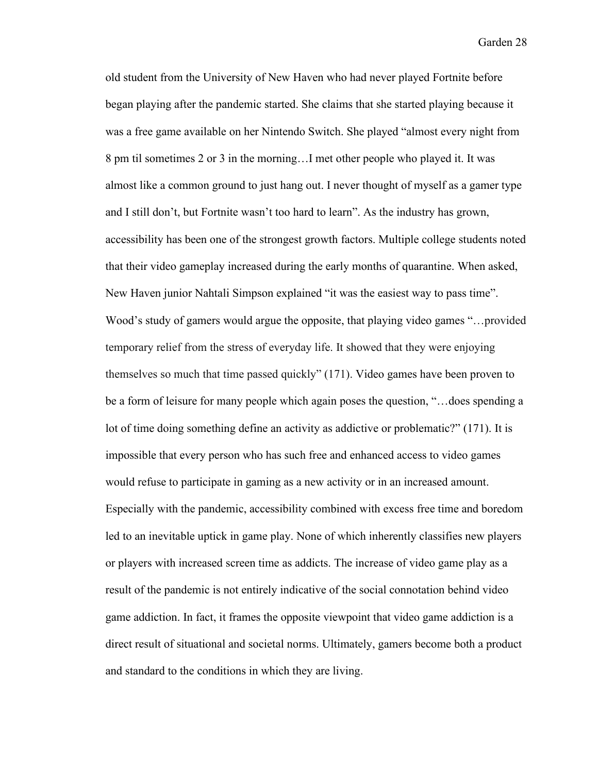old student from the University of New Haven who had never played Fortnite before began playing after the pandemic started. She claims that she started playing because it was a free game available on her Nintendo Switch. She played "almost every night from 8 pm til sometimes 2 or 3 in the morning…I met other people who played it. It was almost like a common ground to just hang out. I never thought of myself as a gamer type and I still don't, but Fortnite wasn't too hard to learn". As the industry has grown, accessibility has been one of the strongest growth factors. Multiple college students noted that their video gameplay increased during the early months of quarantine. When asked, New Haven junior Nahtali Simpson explained "it was the easiest way to pass time". Wood's study of gamers would argue the opposite, that playing video games "…provided temporary relief from the stress of everyday life. It showed that they were enjoying themselves so much that time passed quickly" (171). Video games have been proven to be a form of leisure for many people which again poses the question, "…does spending a lot of time doing something define an activity as addictive or problematic?" (171). It is impossible that every person who has such free and enhanced access to video games would refuse to participate in gaming as a new activity or in an increased amount. Especially with the pandemic, accessibility combined with excess free time and boredom led to an inevitable uptick in game play. None of which inherently classifies new players or players with increased screen time as addicts. The increase of video game play as a result of the pandemic is not entirely indicative of the social connotation behind video game addiction. In fact, it frames the opposite viewpoint that video game addiction is a direct result of situational and societal norms. Ultimately, gamers become both a product and standard to the conditions in which they are living.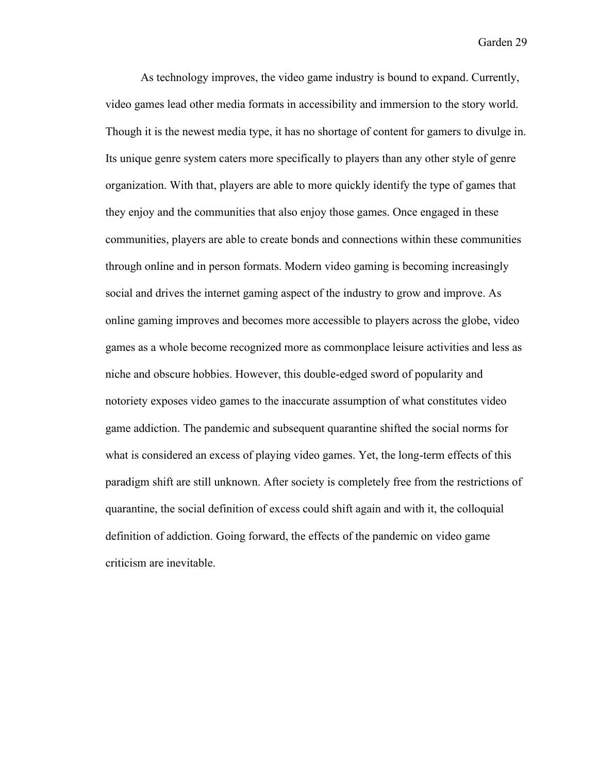As technology improves, the video game industry is bound to expand. Currently, video games lead other media formats in accessibility and immersion to the story world. Though it is the newest media type, it has no shortage of content for gamers to divulge in. Its unique genre system caters more specifically to players than any other style of genre organization. With that, players are able to more quickly identify the type of games that they enjoy and the communities that also enjoy those games. Once engaged in these communities, players are able to create bonds and connections within these communities through online and in person formats. Modern video gaming is becoming increasingly social and drives the internet gaming aspect of the industry to grow and improve. As online gaming improves and becomes more accessible to players across the globe, video games as a whole become recognized more as commonplace leisure activities and less as niche and obscure hobbies. However, this double-edged sword of popularity and notoriety exposes video games to the inaccurate assumption of what constitutes video game addiction. The pandemic and subsequent quarantine shifted the social norms for what is considered an excess of playing video games. Yet, the long-term effects of this paradigm shift are still unknown. After society is completely free from the restrictions of quarantine, the social definition of excess could shift again and with it, the colloquial definition of addiction. Going forward, the effects of the pandemic on video game criticism are inevitable.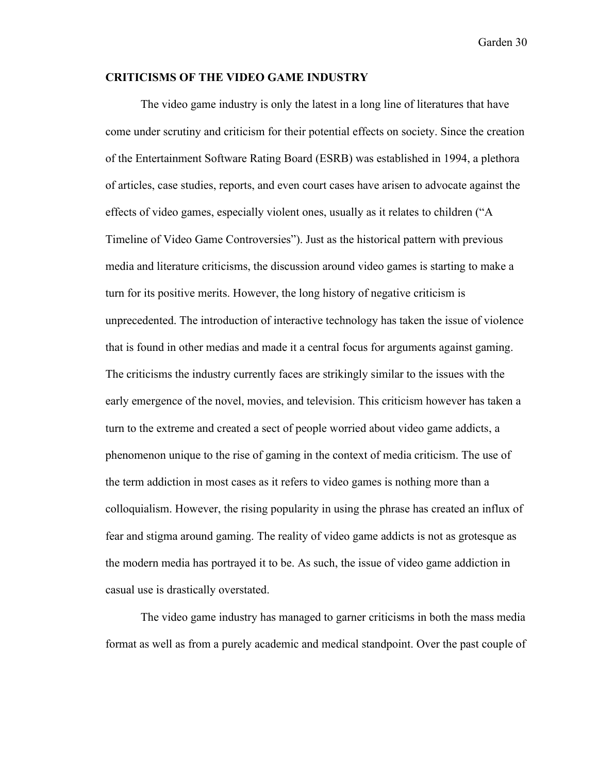#### **CRITICISMS OF THE VIDEO GAME INDUSTRY**

The video game industry is only the latest in a long line of literatures that have come under scrutiny and criticism for their potential effects on society. Since the creation of the Entertainment Software Rating Board (ESRB) was established in 1994, a plethora of articles, case studies, reports, and even court cases have arisen to advocate against the effects of video games, especially violent ones, usually as it relates to children ("A Timeline of Video Game Controversies"). Just as the historical pattern with previous media and literature criticisms, the discussion around video games is starting to make a turn for its positive merits. However, the long history of negative criticism is unprecedented. The introduction of interactive technology has taken the issue of violence that is found in other medias and made it a central focus for arguments against gaming. The criticisms the industry currently faces are strikingly similar to the issues with the early emergence of the novel, movies, and television. This criticism however has taken a turn to the extreme and created a sect of people worried about video game addicts, a phenomenon unique to the rise of gaming in the context of media criticism. The use of the term addiction in most cases as it refers to video games is nothing more than a colloquialism. However, the rising popularity in using the phrase has created an influx of fear and stigma around gaming. The reality of video game addicts is not as grotesque as the modern media has portrayed it to be. As such, the issue of video game addiction in casual use is drastically overstated.

The video game industry has managed to garner criticisms in both the mass media format as well as from a purely academic and medical standpoint. Over the past couple of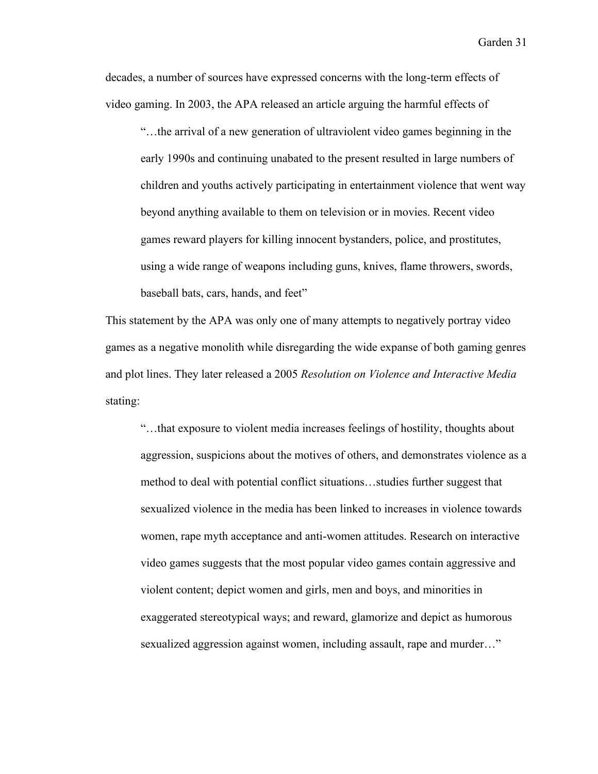decades, a number of sources have expressed concerns with the long-term effects of video gaming. In 2003, the APA released an article arguing the harmful effects of

"…the arrival of a new generation of ultraviolent video games beginning in the early 1990s and continuing unabated to the present resulted in large numbers of children and youths actively participating in entertainment violence that went way beyond anything available to them on television or in movies. Recent video games reward players for killing innocent bystanders, police, and prostitutes, using a wide range of weapons including guns, knives, flame throwers, swords, baseball bats, cars, hands, and feet"

This statement by the APA was only one of many attempts to negatively portray video games as a negative monolith while disregarding the wide expanse of both gaming genres and plot lines. They later released a 2005 *Resolution on Violence and Interactive Media*  stating:

"…that exposure to violent media increases feelings of hostility, thoughts about aggression, suspicions about the motives of others, and demonstrates violence as a method to deal with potential conflict situations…studies further suggest that sexualized violence in the media has been linked to increases in violence towards women, rape myth acceptance and anti-women attitudes. Research on interactive video games suggests that the most popular video games contain aggressive and violent content; depict women and girls, men and boys, and minorities in exaggerated stereotypical ways; and reward, glamorize and depict as humorous sexualized aggression against women, including assault, rape and murder…"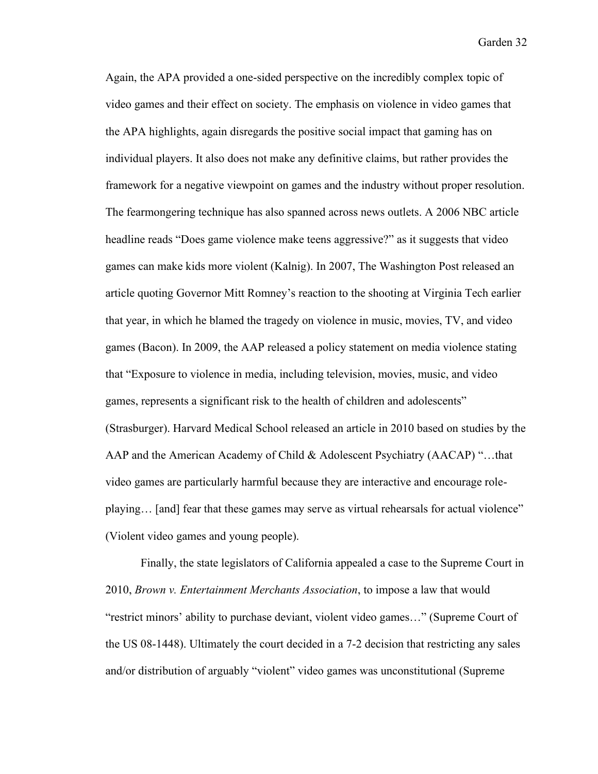Again, the APA provided a one-sided perspective on the incredibly complex topic of video games and their effect on society. The emphasis on violence in video games that the APA highlights, again disregards the positive social impact that gaming has on individual players. It also does not make any definitive claims, but rather provides the framework for a negative viewpoint on games and the industry without proper resolution. The fearmongering technique has also spanned across news outlets. A 2006 NBC article headline reads "Does game violence make teens aggressive?" as it suggests that video games can make kids more violent (Kalnig). In 2007, The Washington Post released an article quoting Governor Mitt Romney's reaction to the shooting at Virginia Tech earlier that year, in which he blamed the tragedy on violence in music, movies, TV, and video games (Bacon). In 2009, the AAP released a policy statement on media violence stating that "Exposure to violence in media, including television, movies, music, and video games, represents a significant risk to the health of children and adolescents" (Strasburger). Harvard Medical School released an article in 2010 based on studies by the AAP and the American Academy of Child & Adolescent Psychiatry (AACAP) "…that video games are particularly harmful because they are interactive and encourage roleplaying… [and] fear that these games may serve as virtual rehearsals for actual violence" (Violent video games and young people).

Finally, the state legislators of California appealed a case to the Supreme Court in 2010, *Brown v. Entertainment Merchants Association*, to impose a law that would "restrict minors' ability to purchase deviant, violent video games…" (Supreme Court of the US 08-1448). Ultimately the court decided in a 7-2 decision that restricting any sales and/or distribution of arguably "violent" video games was unconstitutional (Supreme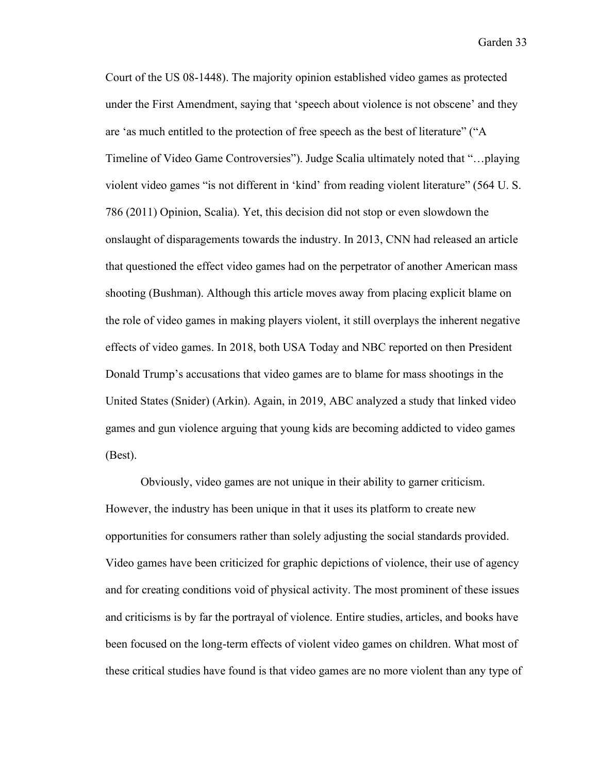Court of the US 08-1448). The majority opinion established video games as protected under the First Amendment, saying that 'speech about violence is not obscene' and they are 'as much entitled to the protection of free speech as the best of literature" ("A Timeline of Video Game Controversies"). Judge Scalia ultimately noted that "…playing violent video games "is not different in 'kind' from reading violent literature" (564 U. S. 786 (2011) Opinion, Scalia). Yet, this decision did not stop or even slowdown the onslaught of disparagements towards the industry. In 2013, CNN had released an article that questioned the effect video games had on the perpetrator of another American mass shooting (Bushman). Although this article moves away from placing explicit blame on the role of video games in making players violent, it still overplays the inherent negative effects of video games. In 2018, both USA Today and NBC reported on then President Donald Trump's accusations that video games are to blame for mass shootings in the United States (Snider) (Arkin). Again, in 2019, ABC analyzed a study that linked video games and gun violence arguing that young kids are becoming addicted to video games (Best).

Obviously, video games are not unique in their ability to garner criticism. However, the industry has been unique in that it uses its platform to create new opportunities for consumers rather than solely adjusting the social standards provided. Video games have been criticized for graphic depictions of violence, their use of agency and for creating conditions void of physical activity. The most prominent of these issues and criticisms is by far the portrayal of violence. Entire studies, articles, and books have been focused on the long-term effects of violent video games on children. What most of these critical studies have found is that video games are no more violent than any type of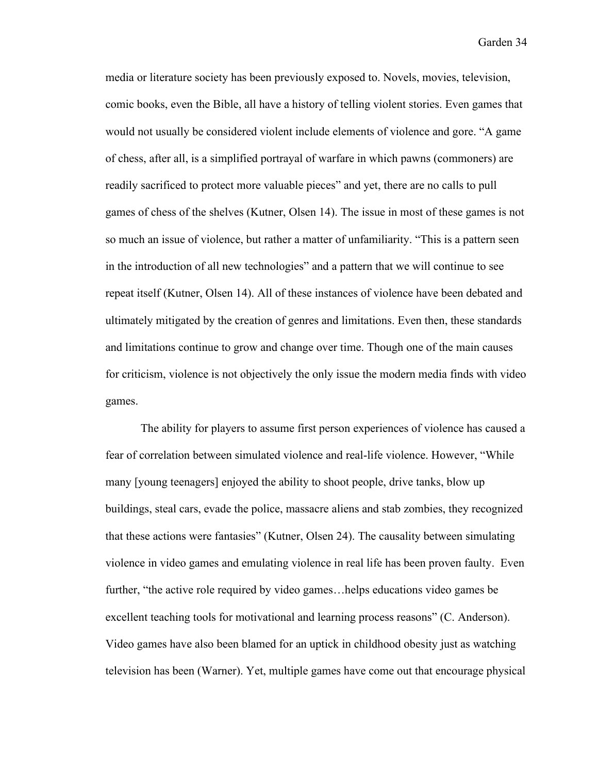media or literature society has been previously exposed to. Novels, movies, television, comic books, even the Bible, all have a history of telling violent stories. Even games that would not usually be considered violent include elements of violence and gore. "A game of chess, after all, is a simplified portrayal of warfare in which pawns (commoners) are readily sacrificed to protect more valuable pieces" and yet, there are no calls to pull games of chess of the shelves (Kutner, Olsen 14). The issue in most of these games is not so much an issue of violence, but rather a matter of unfamiliarity. "This is a pattern seen in the introduction of all new technologies" and a pattern that we will continue to see repeat itself (Kutner, Olsen 14). All of these instances of violence have been debated and ultimately mitigated by the creation of genres and limitations. Even then, these standards and limitations continue to grow and change over time. Though one of the main causes for criticism, violence is not objectively the only issue the modern media finds with video games.

The ability for players to assume first person experiences of violence has caused a fear of correlation between simulated violence and real-life violence. However, "While many [young teenagers] enjoyed the ability to shoot people, drive tanks, blow up buildings, steal cars, evade the police, massacre aliens and stab zombies, they recognized that these actions were fantasies" (Kutner, Olsen 24). The causality between simulating violence in video games and emulating violence in real life has been proven faulty. Even further, "the active role required by video games…helps educations video games be excellent teaching tools for motivational and learning process reasons" (C. Anderson). Video games have also been blamed for an uptick in childhood obesity just as watching television has been (Warner). Yet, multiple games have come out that encourage physical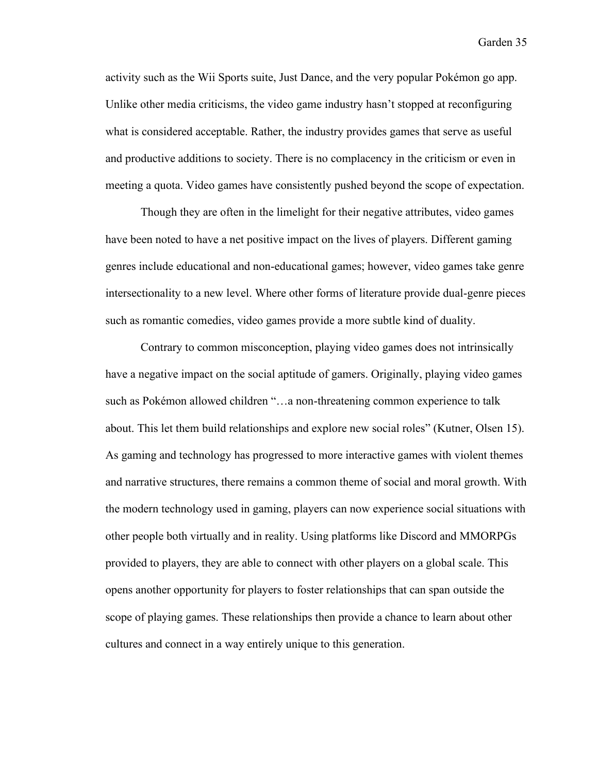activity such as the Wii Sports suite, Just Dance, and the very popular Pokémon go app. Unlike other media criticisms, the video game industry hasn't stopped at reconfiguring what is considered acceptable. Rather, the industry provides games that serve as useful and productive additions to society. There is no complacency in the criticism or even in meeting a quota. Video games have consistently pushed beyond the scope of expectation.

Though they are often in the limelight for their negative attributes, video games have been noted to have a net positive impact on the lives of players. Different gaming genres include educational and non-educational games; however, video games take genre intersectionality to a new level. Where other forms of literature provide dual-genre pieces such as romantic comedies, video games provide a more subtle kind of duality.

Contrary to common misconception, playing video games does not intrinsically have a negative impact on the social aptitude of gamers. Originally, playing video games such as Pokémon allowed children "…a non-threatening common experience to talk about. This let them build relationships and explore new social roles" (Kutner, Olsen 15). As gaming and technology has progressed to more interactive games with violent themes and narrative structures, there remains a common theme of social and moral growth. With the modern technology used in gaming, players can now experience social situations with other people both virtually and in reality. Using platforms like Discord and MMORPGs provided to players, they are able to connect with other players on a global scale. This opens another opportunity for players to foster relationships that can span outside the scope of playing games. These relationships then provide a chance to learn about other cultures and connect in a way entirely unique to this generation.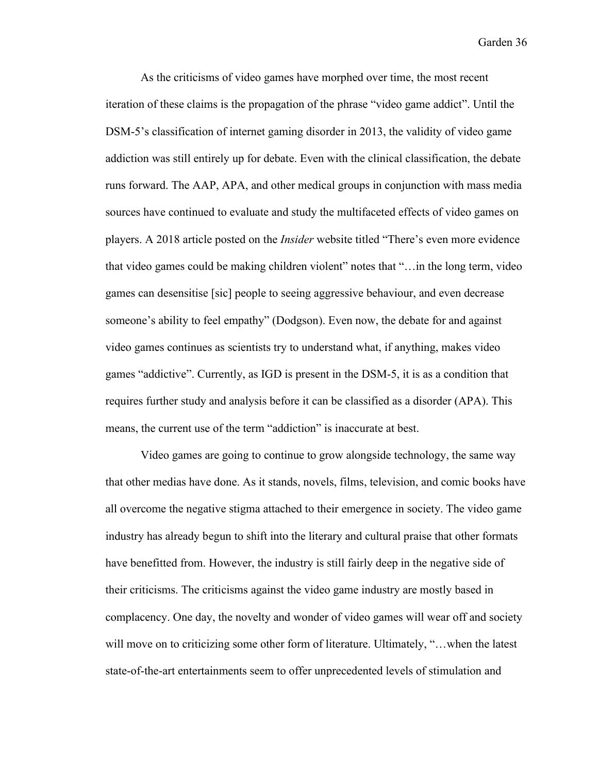As the criticisms of video games have morphed over time, the most recent iteration of these claims is the propagation of the phrase "video game addict". Until the DSM-5's classification of internet gaming disorder in 2013, the validity of video game addiction was still entirely up for debate. Even with the clinical classification, the debate runs forward. The AAP, APA, and other medical groups in conjunction with mass media sources have continued to evaluate and study the multifaceted effects of video games on players. A 2018 article posted on the *Insider* website titled "There's even more evidence that video games could be making children violent" notes that "…in the long term, video games can desensitise [sic] people to seeing aggressive behaviour, and even decrease someone's ability to feel empathy" (Dodgson). Even now, the debate for and against video games continues as scientists try to understand what, if anything, makes video games "addictive". Currently, as IGD is present in the DSM-5, it is as a condition that requires further study and analysis before it can be classified as a disorder (APA). This means, the current use of the term "addiction" is inaccurate at best.

Video games are going to continue to grow alongside technology, the same way that other medias have done. As it stands, novels, films, television, and comic books have all overcome the negative stigma attached to their emergence in society. The video game industry has already begun to shift into the literary and cultural praise that other formats have benefitted from. However, the industry is still fairly deep in the negative side of their criticisms. The criticisms against the video game industry are mostly based in complacency. One day, the novelty and wonder of video games will wear off and society will move on to criticizing some other form of literature. Ultimately, "...when the latest state-of-the-art entertainments seem to offer unprecedented levels of stimulation and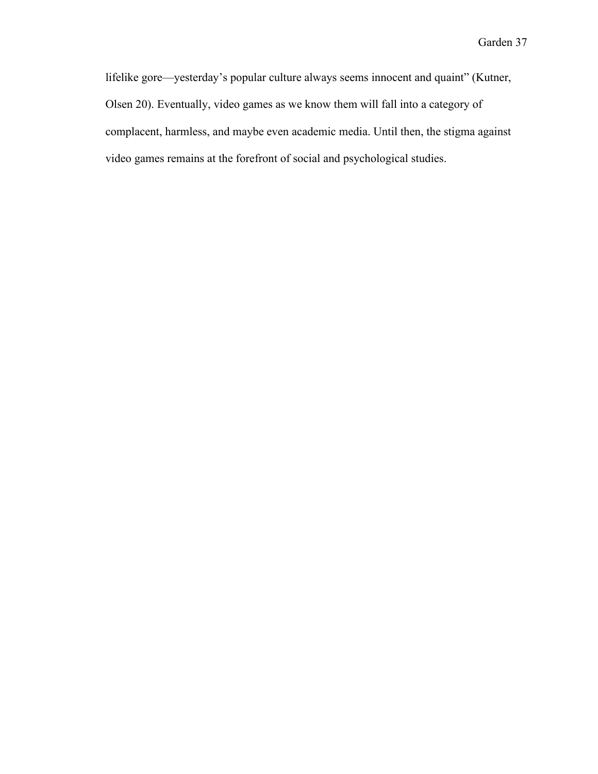lifelike gore—yesterday's popular culture always seems innocent and quaint" (Kutner, Olsen 20). Eventually, video games as we know them will fall into a category of complacent, harmless, and maybe even academic media. Until then, the stigma against video games remains at the forefront of social and psychological studies.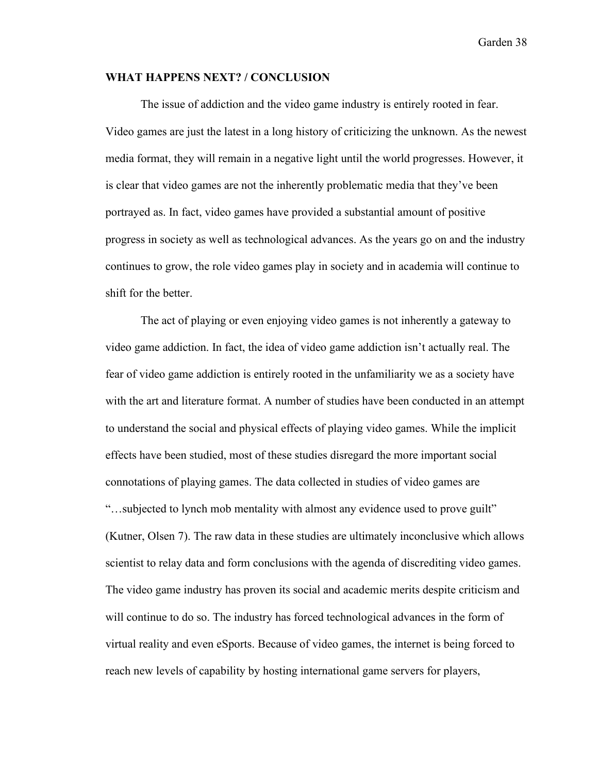#### **WHAT HAPPENS NEXT? / CONCLUSION**

The issue of addiction and the video game industry is entirely rooted in fear. Video games are just the latest in a long history of criticizing the unknown. As the newest media format, they will remain in a negative light until the world progresses. However, it is clear that video games are not the inherently problematic media that they've been portrayed as. In fact, video games have provided a substantial amount of positive progress in society as well as technological advances. As the years go on and the industry continues to grow, the role video games play in society and in academia will continue to shift for the better.

The act of playing or even enjoying video games is not inherently a gateway to video game addiction. In fact, the idea of video game addiction isn't actually real. The fear of video game addiction is entirely rooted in the unfamiliarity we as a society have with the art and literature format. A number of studies have been conducted in an attempt to understand the social and physical effects of playing video games. While the implicit effects have been studied, most of these studies disregard the more important social connotations of playing games. The data collected in studies of video games are "…subjected to lynch mob mentality with almost any evidence used to prove guilt" (Kutner, Olsen 7). The raw data in these studies are ultimately inconclusive which allows scientist to relay data and form conclusions with the agenda of discrediting video games. The video game industry has proven its social and academic merits despite criticism and will continue to do so. The industry has forced technological advances in the form of virtual reality and even eSports. Because of video games, the internet is being forced to reach new levels of capability by hosting international game servers for players,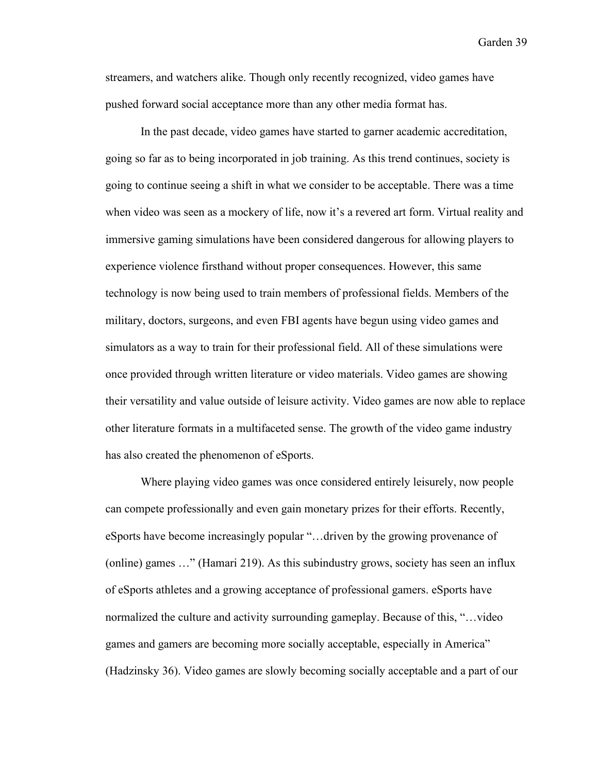streamers, and watchers alike. Though only recently recognized, video games have pushed forward social acceptance more than any other media format has.

In the past decade, video games have started to garner academic accreditation, going so far as to being incorporated in job training. As this trend continues, society is going to continue seeing a shift in what we consider to be acceptable. There was a time when video was seen as a mockery of life, now it's a revered art form. Virtual reality and immersive gaming simulations have been considered dangerous for allowing players to experience violence firsthand without proper consequences. However, this same technology is now being used to train members of professional fields. Members of the military, doctors, surgeons, and even FBI agents have begun using video games and simulators as a way to train for their professional field. All of these simulations were once provided through written literature or video materials. Video games are showing their versatility and value outside of leisure activity. Video games are now able to replace other literature formats in a multifaceted sense. The growth of the video game industry has also created the phenomenon of eSports.

Where playing video games was once considered entirely leisurely, now people can compete professionally and even gain monetary prizes for their efforts. Recently, eSports have become increasingly popular "…driven by the growing provenance of (online) games …" (Hamari 219). As this subindustry grows, society has seen an influx of eSports athletes and a growing acceptance of professional gamers. eSports have normalized the culture and activity surrounding gameplay. Because of this, "…video games and gamers are becoming more socially acceptable, especially in America" (Hadzinsky 36). Video games are slowly becoming socially acceptable and a part of our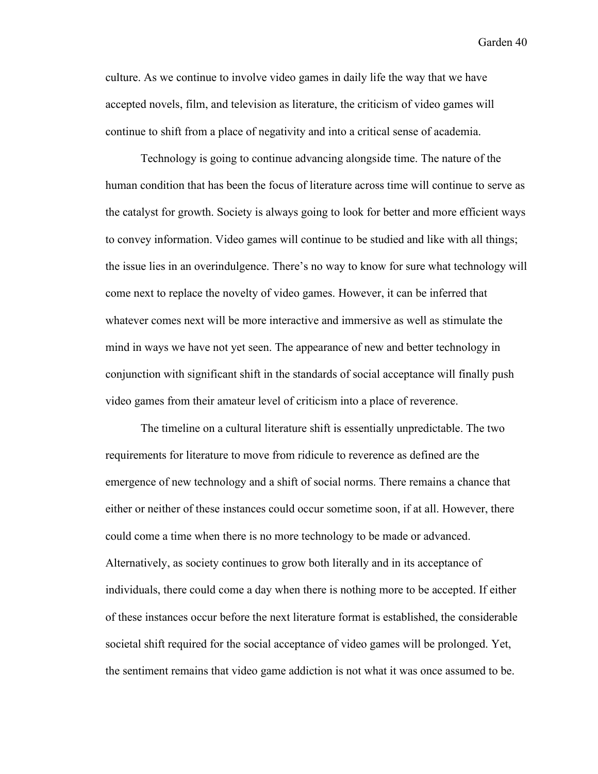culture. As we continue to involve video games in daily life the way that we have accepted novels, film, and television as literature, the criticism of video games will continue to shift from a place of negativity and into a critical sense of academia.

Technology is going to continue advancing alongside time. The nature of the human condition that has been the focus of literature across time will continue to serve as the catalyst for growth. Society is always going to look for better and more efficient ways to convey information. Video games will continue to be studied and like with all things; the issue lies in an overindulgence. There's no way to know for sure what technology will come next to replace the novelty of video games. However, it can be inferred that whatever comes next will be more interactive and immersive as well as stimulate the mind in ways we have not yet seen. The appearance of new and better technology in conjunction with significant shift in the standards of social acceptance will finally push video games from their amateur level of criticism into a place of reverence.

The timeline on a cultural literature shift is essentially unpredictable. The two requirements for literature to move from ridicule to reverence as defined are the emergence of new technology and a shift of social norms. There remains a chance that either or neither of these instances could occur sometime soon, if at all. However, there could come a time when there is no more technology to be made or advanced. Alternatively, as society continues to grow both literally and in its acceptance of individuals, there could come a day when there is nothing more to be accepted. If either of these instances occur before the next literature format is established, the considerable societal shift required for the social acceptance of video games will be prolonged. Yet, the sentiment remains that video game addiction is not what it was once assumed to be.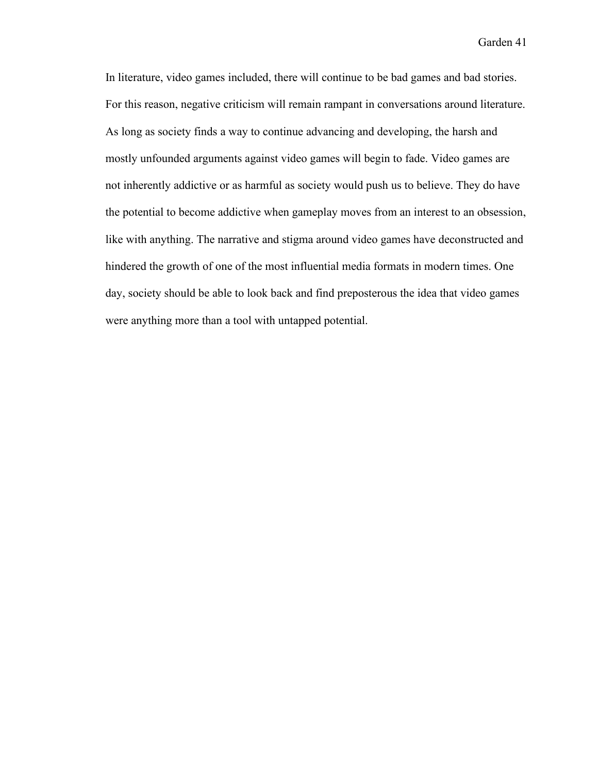In literature, video games included, there will continue to be bad games and bad stories. For this reason, negative criticism will remain rampant in conversations around literature. As long as society finds a way to continue advancing and developing, the harsh and mostly unfounded arguments against video games will begin to fade. Video games are not inherently addictive or as harmful as society would push us to believe. They do have the potential to become addictive when gameplay moves from an interest to an obsession, like with anything. The narrative and stigma around video games have deconstructed and hindered the growth of one of the most influential media formats in modern times. One day, society should be able to look back and find preposterous the idea that video games were anything more than a tool with untapped potential.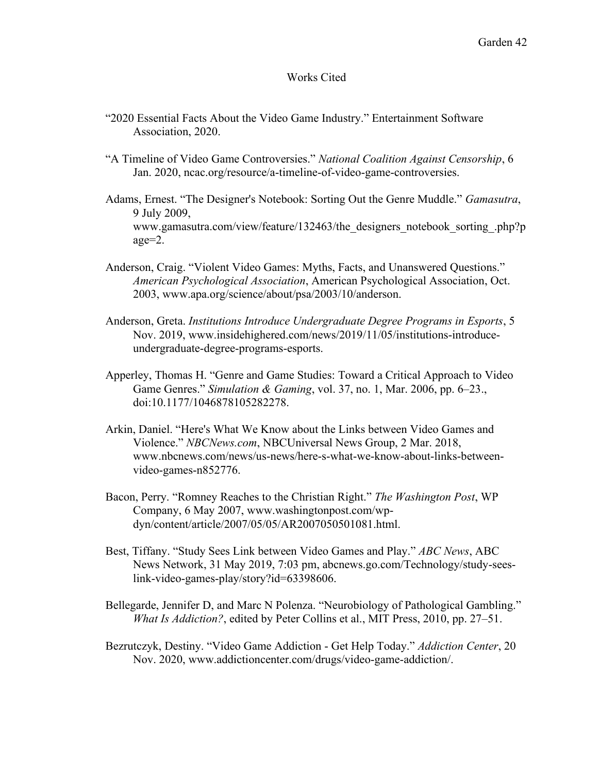#### Works Cited

- "2020 Essential Facts About the Video Game Industry." Entertainment Software Association, 2020.
- "A Timeline of Video Game Controversies." *National Coalition Against Censorship*, 6 Jan. 2020, ncac.org/resource/a-timeline-of-video-game-controversies.
- Adams, Ernest. "The Designer's Notebook: Sorting Out the Genre Muddle." *Gamasutra*, 9 July 2009, www.gamasutra.com/view/feature/132463/the\_designers\_notebook\_sorting\_.php?p age=2.
- Anderson, Craig. "Violent Video Games: Myths, Facts, and Unanswered Questions." *American Psychological Association*, American Psychological Association, Oct. 2003, www.apa.org/science/about/psa/2003/10/anderson.
- Anderson, Greta. *Institutions Introduce Undergraduate Degree Programs in Esports*, 5 Nov. 2019, www.insidehighered.com/news/2019/11/05/institutions-introduceundergraduate-degree-programs-esports.
- Apperley, Thomas H. "Genre and Game Studies: Toward a Critical Approach to Video Game Genres." *Simulation & Gaming*, vol. 37, no. 1, Mar. 2006, pp. 6–23., doi:10.1177/1046878105282278.
- Arkin, Daniel. "Here's What We Know about the Links between Video Games and Violence." *NBCNews.com*, NBCUniversal News Group, 2 Mar. 2018, www.nbcnews.com/news/us-news/here-s-what-we-know-about-links-betweenvideo-games-n852776.
- Bacon, Perry. "Romney Reaches to the Christian Right." *The Washington Post*, WP Company, 6 May 2007, www.washingtonpost.com/wpdyn/content/article/2007/05/05/AR2007050501081.html.
- Best, Tiffany. "Study Sees Link between Video Games and Play." *ABC News*, ABC News Network, 31 May 2019, 7:03 pm, abcnews.go.com/Technology/study-seeslink-video-games-play/story?id=63398606.
- Bellegarde, Jennifer D, and Marc N Polenza. "Neurobiology of Pathological Gambling." *What Is Addiction?*, edited by Peter Collins et al., MIT Press, 2010, pp. 27–51.
- Bezrutczyk, Destiny. "Video Game Addiction Get Help Today." *Addiction Center*, 20 Nov. 2020, www.addictioncenter.com/drugs/video-game-addiction/.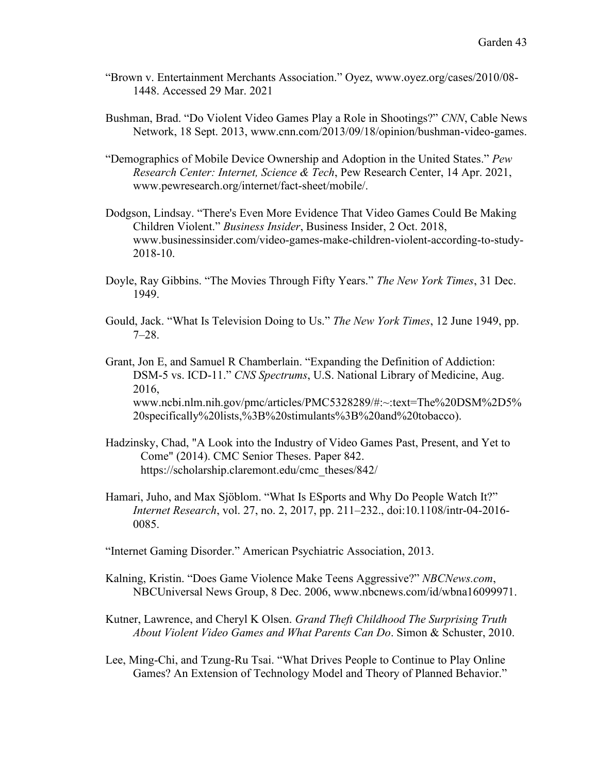- "Brown v. Entertainment Merchants Association." Oyez, www.oyez.org/cases/2010/08- 1448. Accessed 29 Mar. 2021
- Bushman, Brad. "Do Violent Video Games Play a Role in Shootings?" *CNN*, Cable News Network, 18 Sept. 2013, www.cnn.com/2013/09/18/opinion/bushman-video-games.
- "Demographics of Mobile Device Ownership and Adoption in the United States." *Pew Research Center: Internet, Science & Tech*, Pew Research Center, 14 Apr. 2021, www.pewresearch.org/internet/fact-sheet/mobile/.
- Dodgson, Lindsay. "There's Even More Evidence That Video Games Could Be Making Children Violent." *Business Insider*, Business Insider, 2 Oct. 2018, www.businessinsider.com/video-games-make-children-violent-according-to-study-2018-10.
- Doyle, Ray Gibbins. "The Movies Through Fifty Years." *The New York Times*, 31 Dec. 1949.
- Gould, Jack. "What Is Television Doing to Us." *The New York Times*, 12 June 1949, pp. 7–28.
- Grant, Jon E, and Samuel R Chamberlain. "Expanding the Definition of Addiction: DSM-5 vs. ICD-11." *CNS Spectrums*, U.S. National Library of Medicine, Aug. 2016, www.ncbi.nlm.nih.gov/pmc/articles/PMC5328289/#:~:text=The%20DSM%2D5% 20specifically%20lists,%3B%20stimulants%3B%20and%20tobacco).
- Hadzinsky, Chad, "A Look into the Industry of Video Games Past, Present, and Yet to Come" (2014). CMC Senior Theses. Paper 842. https://scholarship.claremont.edu/cmc\_theses/842/
- Hamari, Juho, and Max Sjöblom. "What Is ESports and Why Do People Watch It?" *Internet Research*, vol. 27, no. 2, 2017, pp. 211–232., doi:10.1108/intr-04-2016- 0085.
- "Internet Gaming Disorder." American Psychiatric Association, 2013.
- Kalning, Kristin. "Does Game Violence Make Teens Aggressive?" *NBCNews.com*, NBCUniversal News Group, 8 Dec. 2006, www.nbcnews.com/id/wbna16099971.
- Kutner, Lawrence, and Cheryl K Olsen. *Grand Theft Childhood The Surprising Truth About Violent Video Games and What Parents Can Do*. Simon & Schuster, 2010.
- Lee, Ming-Chi, and Tzung-Ru Tsai. "What Drives People to Continue to Play Online Games? An Extension of Technology Model and Theory of Planned Behavior."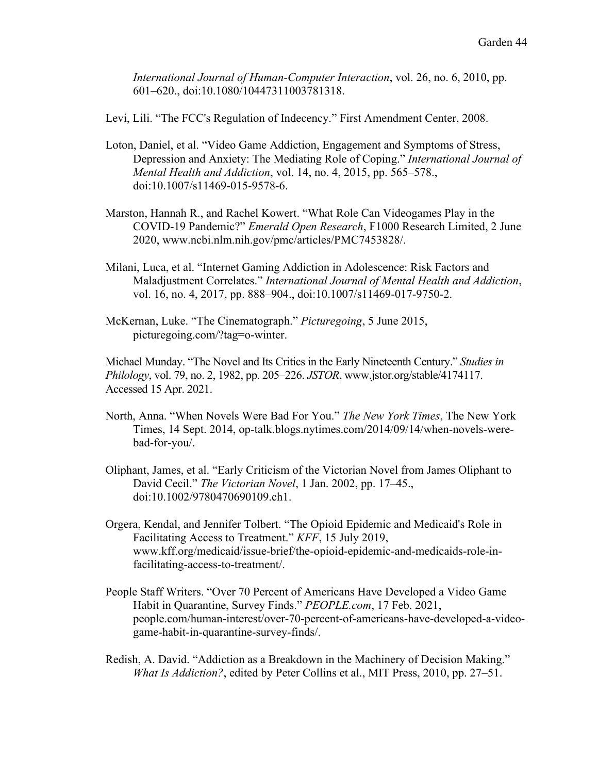*International Journal of Human-Computer Interaction*, vol. 26, no. 6, 2010, pp. 601–620., doi:10.1080/10447311003781318.

Levi, Lili. "The FCC's Regulation of Indecency." First Amendment Center, 2008.

- Loton, Daniel, et al. "Video Game Addiction, Engagement and Symptoms of Stress, Depression and Anxiety: The Mediating Role of Coping." *International Journal of Mental Health and Addiction*, vol. 14, no. 4, 2015, pp. 565–578., doi:10.1007/s11469-015-9578-6.
- Marston, Hannah R., and Rachel Kowert. "What Role Can Videogames Play in the COVID-19 Pandemic?" *Emerald Open Research*, F1000 Research Limited, 2 June 2020, www.ncbi.nlm.nih.gov/pmc/articles/PMC7453828/.
- Milani, Luca, et al. "Internet Gaming Addiction in Adolescence: Risk Factors and Maladjustment Correlates." *International Journal of Mental Health and Addiction*, vol. 16, no. 4, 2017, pp. 888–904., doi:10.1007/s11469-017-9750-2.
- McKernan, Luke. "The Cinematograph." *Picturegoing*, 5 June 2015, picturegoing.com/?tag=o-winter.

Michael Munday. "The Novel and Its Critics in the Early Nineteenth Century." *Studies in Philology*, vol. 79, no. 2, 1982, pp. 205–226. *JSTOR*, www.jstor.org/stable/4174117. Accessed 15 Apr. 2021.

- North, Anna. "When Novels Were Bad For You." *The New York Times*, The New York Times, 14 Sept. 2014, op-talk.blogs.nytimes.com/2014/09/14/when-novels-werebad-for-you/.
- Oliphant, James, et al. "Early Criticism of the Victorian Novel from James Oliphant to David Cecil." *The Victorian Novel*, 1 Jan. 2002, pp. 17–45., doi:10.1002/9780470690109.ch1.
- Orgera, Kendal, and Jennifer Tolbert. "The Opioid Epidemic and Medicaid's Role in Facilitating Access to Treatment." *KFF*, 15 July 2019, www.kff.org/medicaid/issue-brief/the-opioid-epidemic-and-medicaids-role-infacilitating-access-to-treatment/.
- People Staff Writers. "Over 70 Percent of Americans Have Developed a Video Game Habit in Quarantine, Survey Finds." *PEOPLE.com*, 17 Feb. 2021, people.com/human-interest/over-70-percent-of-americans-have-developed-a-videogame-habit-in-quarantine-survey-finds/.
- Redish, A. David. "Addiction as a Breakdown in the Machinery of Decision Making." *What Is Addiction?*, edited by Peter Collins et al., MIT Press, 2010, pp. 27–51.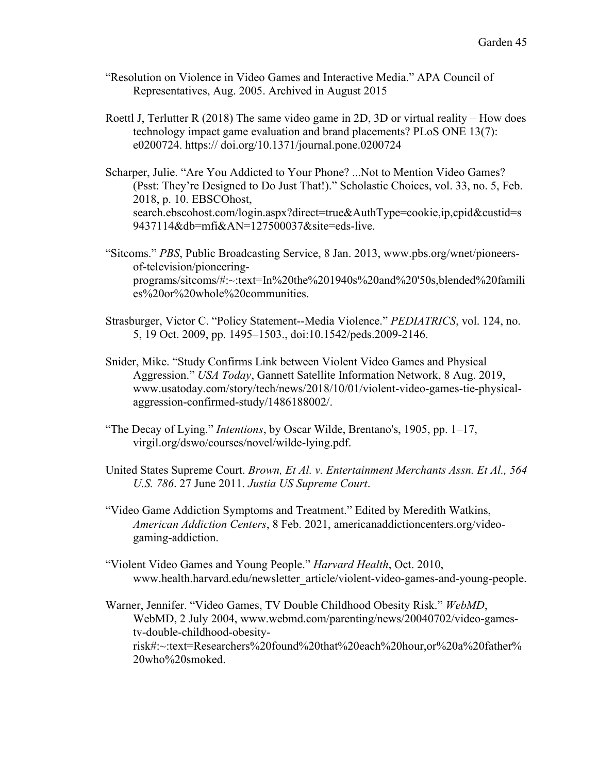- "Resolution on Violence in Video Games and Interactive Media." APA Council of Representatives, Aug. 2005. Archived in August 2015
- Roettl J, Terlutter R (2018) The same video game in 2D, 3D or virtual reality How does technology impact game evaluation and brand placements? PLoS ONE 13(7): e0200724. https:// doi.org/10.1371/journal.pone.0200724
- Scharper, Julie. "Are You Addicted to Your Phone? ...Not to Mention Video Games? (Psst: They're Designed to Do Just That!)." Scholastic Choices, vol. 33, no. 5, Feb. 2018, p. 10. EBSCOhost, search.ebscohost.com/login.aspx?direct=true&AuthType=cookie,ip,cpid&custid=s 9437114&db=mfi&AN=127500037&site=eds-live.
- "Sitcoms." *PBS*, Public Broadcasting Service, 8 Jan. 2013, www.pbs.org/wnet/pioneersof-television/pioneeringprograms/sitcoms/#:~:text=In%20the%201940s%20and%20'50s,blended%20famili es%20or%20whole%20communities.
- Strasburger, Victor C. "Policy Statement--Media Violence." *PEDIATRICS*, vol. 124, no. 5, 19 Oct. 2009, pp. 1495–1503., doi:10.1542/peds.2009-2146.
- Snider, Mike. "Study Confirms Link between Violent Video Games and Physical Aggression." *USA Today*, Gannett Satellite Information Network, 8 Aug. 2019, www.usatoday.com/story/tech/news/2018/10/01/violent-video-games-tie-physicalaggression-confirmed-study/1486188002/.
- "The Decay of Lying." *Intentions*, by Oscar Wilde, Brentano's, 1905, pp. 1–17, virgil.org/dswo/courses/novel/wilde-lying.pdf.
- United States Supreme Court. *Brown, Et Al. v. Entertainment Merchants Assn. Et Al., 564 U.S. 786*. 27 June 2011. *Justia US Supreme Court*.
- "Video Game Addiction Symptoms and Treatment." Edited by Meredith Watkins, *American Addiction Centers*, 8 Feb. 2021, americanaddictioncenters.org/videogaming-addiction.
- "Violent Video Games and Young People." *Harvard Health*, Oct. 2010, www.health.harvard.edu/newsletter\_article/violent-video-games-and-young-people.

Warner, Jennifer. "Video Games, TV Double Childhood Obesity Risk." *WebMD*, WebMD, 2 July 2004, www.webmd.com/parenting/news/20040702/video-gamestv-double-childhood-obesityrisk#:~:text=Researchers%20found%20that%20each%20hour,or%20a%20father% 20who%20smoked.